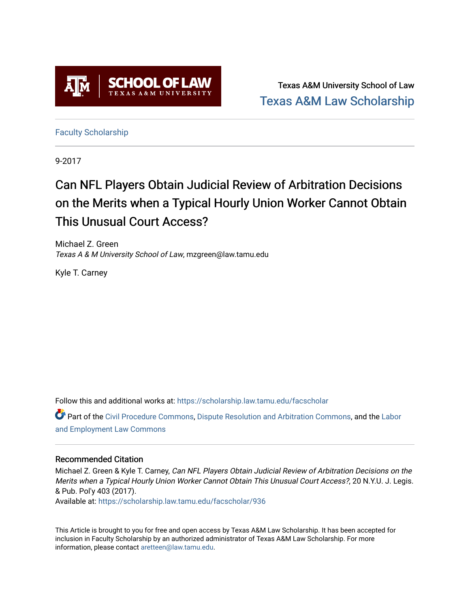

Texas A&M University School of Law [Texas A&M Law Scholarship](https://scholarship.law.tamu.edu/) 

[Faculty Scholarship](https://scholarship.law.tamu.edu/facscholar)

9-2017

# Can NFL Players Obtain Judicial Review of Arbitration Decisions on the Merits when a Typical Hourly Union Worker Cannot Obtain This Unusual Court Access?

Michael Z. Green Texas A & M University School of Law, mzgreen@law.tamu.edu

Kyle T. Carney

Follow this and additional works at: [https://scholarship.law.tamu.edu/facscholar](https://scholarship.law.tamu.edu/facscholar?utm_source=scholarship.law.tamu.edu%2Ffacscholar%2F936&utm_medium=PDF&utm_campaign=PDFCoverPages) 

Part of the [Civil Procedure Commons,](http://network.bepress.com/hgg/discipline/584?utm_source=scholarship.law.tamu.edu%2Ffacscholar%2F936&utm_medium=PDF&utm_campaign=PDFCoverPages) [Dispute Resolution and Arbitration Commons](http://network.bepress.com/hgg/discipline/890?utm_source=scholarship.law.tamu.edu%2Ffacscholar%2F936&utm_medium=PDF&utm_campaign=PDFCoverPages), and the Labor [and Employment Law Commons](http://network.bepress.com/hgg/discipline/909?utm_source=scholarship.law.tamu.edu%2Ffacscholar%2F936&utm_medium=PDF&utm_campaign=PDFCoverPages)

#### Recommended Citation

Michael Z. Green & Kyle T. Carney, Can NFL Players Obtain Judicial Review of Arbitration Decisions on the Merits when a Typical Hourly Union Worker Cannot Obtain This Unusual Court Access?, 20 N.Y.U. J. Legis. & Pub. Pol'y 403 (2017).

Available at: [https://scholarship.law.tamu.edu/facscholar/936](https://scholarship.law.tamu.edu/facscholar/936?utm_source=scholarship.law.tamu.edu%2Ffacscholar%2F936&utm_medium=PDF&utm_campaign=PDFCoverPages)

This Article is brought to you for free and open access by Texas A&M Law Scholarship. It has been accepted for inclusion in Faculty Scholarship by an authorized administrator of Texas A&M Law Scholarship. For more information, please contact [aretteen@law.tamu.edu](mailto:aretteen@law.tamu.edu).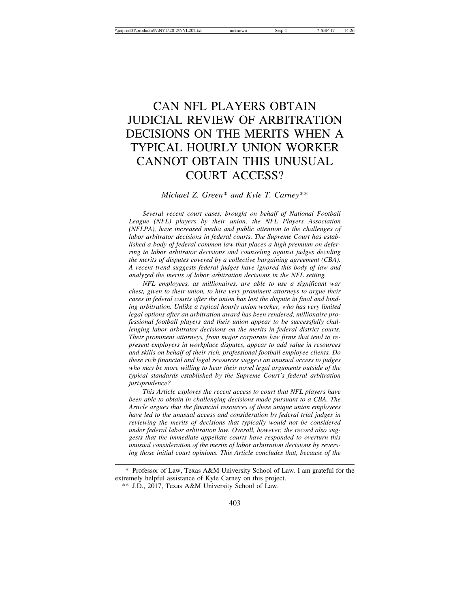# CAN NFL PLAYERS OBTAIN JUDICIAL REVIEW OF ARBITRATION DECISIONS ON THE MERITS WHEN A TYPICAL HOURLY UNION WORKER CANNOT OBTAIN THIS UNUSUAL COURT ACCESS?

#### *Michael Z. Green*\* *and Kyle T. Carney*\*\*

*Several recent court cases, brought on behalf of National Football League (NFL) players by their union, the NFL Players Association (NFLPA), have increased media and public attention to the challenges of labor arbitrator decisions in federal courts. The Supreme Court has established a body of federal common law that places a high premium on deferring to labor arbitrator decisions and counseling against judges deciding the merits of disputes covered by a collective bargaining agreement (CBA). A recent trend suggests federal judges have ignored this body of law and analyzed the merits of labor arbitration decisions in the NFL setting.*

*NFL employees, as millionaires, are able to use a significant war chest, given to their union, to hire very prominent attorneys to argue their cases in federal courts after the union has lost the dispute in final and binding arbitration. Unlike a typical hourly union worker, who has very limited legal options after an arbitration award has been rendered, millionaire professional football players and their union appear to be successfully challenging labor arbitrator decisions on the merits in federal district courts. Their prominent attorneys, from major corporate law firms that tend to represent employers in workplace disputes, appear to add value in resources and skills on behalf of their rich, professional football employee clients. Do these rich financial and legal resources suggest an unusual access to judges who may be more willing to hear their novel legal arguments outside of the typical standards established by the Supreme Court's federal arbitration jurisprudence?*

*This Article explores the recent access to court that NFL players have been able to obtain in challenging decisions made pursuant to a CBA. The Article argues that the financial resources of these unique union employees have led to the unusual access and consideration by federal trial judges in reviewing the merits of decisions that typically would not be considered under federal labor arbitration law. Overall, however, the record also suggests that the immediate appellate courts have responded to overturn this unusual consideration of the merits of labor arbitration decisions by reversing those initial court opinions. This Article concludes that, because of the*

<sup>\*</sup> Professor of Law, Texas A&M University School of Law. I am grateful for the extremely helpful assistance of Kyle Carney on this project.

<sup>\*\*</sup> J.D., 2017, Texas A&M University School of Law.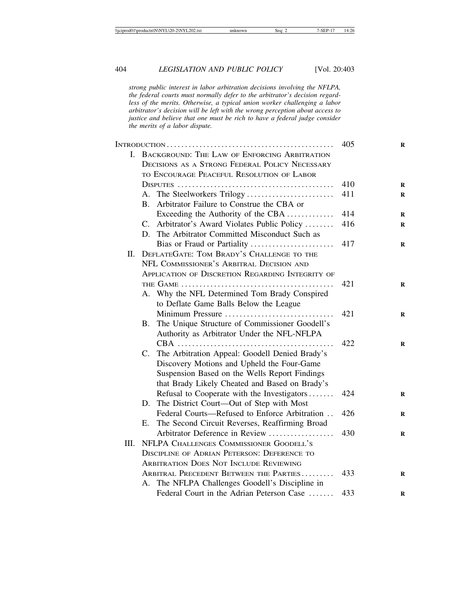*strong public interest in labor arbitration decisions involving the NFLPA, the federal courts must normally defer to the arbitrator's decision regardless of the merits. Otherwise, a typical union worker challenging a labor arbitrator's decision will be left with the wrong perception about access to justice and believe that one must be rich to have a federal judge consider the merits of a labor dispute.*

|      |             |                                                                                             | 405 |
|------|-------------|---------------------------------------------------------------------------------------------|-----|
|      |             | I. BACKGROUND: THE LAW OF ENFORCING ARBITRATION                                             |     |
|      |             | <b>DECISIONS AS A STRONG FEDERAL POLICY NECESSARY</b>                                       |     |
|      |             | TO ENCOURAGE PEACEFUL RESOLUTION OF LABOR                                                   |     |
|      |             |                                                                                             | 410 |
|      |             | A. The Steelworkers Trilogy                                                                 | 411 |
|      | <b>B.</b>   | Arbitrator Failure to Construe the CBA or                                                   |     |
|      |             | Exceeding the Authority of the CBA                                                          | 414 |
|      | C.          | Arbitrator's Award Violates Public Policy                                                   | 416 |
|      |             | D. The Arbitrator Committed Misconduct Such as                                              |     |
|      |             | Bias or Fraud or Partiality                                                                 | 417 |
| П.   |             | DEFLATEGATE: TOM BRADY'S CHALLENGE TO THE                                                   |     |
|      |             | NFL COMMISSIONER'S ARBITRAL DECISION AND                                                    |     |
|      |             | <b>APPLICATION OF DISCRETION REGARDING INTEGRITY OF</b>                                     |     |
|      |             |                                                                                             | 421 |
|      |             | A. Why the NFL Determined Tom Brady Conspired                                               |     |
|      |             | to Deflate Game Balls Below the League                                                      |     |
|      |             | Minimum Pressure                                                                            | 421 |
|      | <b>B.</b>   | The Unique Structure of Commissioner Goodell's                                              |     |
|      |             | Authority as Arbitrator Under the NFL-NFLPA                                                 |     |
|      |             |                                                                                             | 422 |
|      | $C_{\cdot}$ | The Arbitration Appeal: Goodell Denied Brady's                                              |     |
|      |             | Discovery Motions and Upheld the Four-Game<br>Suspension Based on the Wells Report Findings |     |
|      |             | that Brady Likely Cheated and Based on Brady's                                              |     |
|      |             | Refusal to Cooperate with the Investigators                                                 | 424 |
|      | D.          | The District Court—Out of Step with Most                                                    |     |
|      |             | Federal Courts—Refused to Enforce Arbitration                                               | 426 |
|      | E.          | The Second Circuit Reverses, Reaffirming Broad                                              |     |
|      |             | Arbitrator Deference in Review                                                              | 430 |
| III. |             | NFLPA CHALLENGES COMMISSIONER GOODELL'S                                                     |     |
|      |             | DISCIPLINE OF ADRIAN PETERSON: DEFERENCE TO                                                 |     |
|      |             | <b>ARBITRATION DOES NOT INCLUDE REVIEWING</b>                                               |     |
|      |             | ARBITRAL PRECEDENT BETWEEN THE PARTIES                                                      | 433 |
|      |             | A. The NFLPA Challenges Goodell's Discipline in                                             |     |
|      |             | Federal Court in the Adrian Peterson Case                                                   | 433 |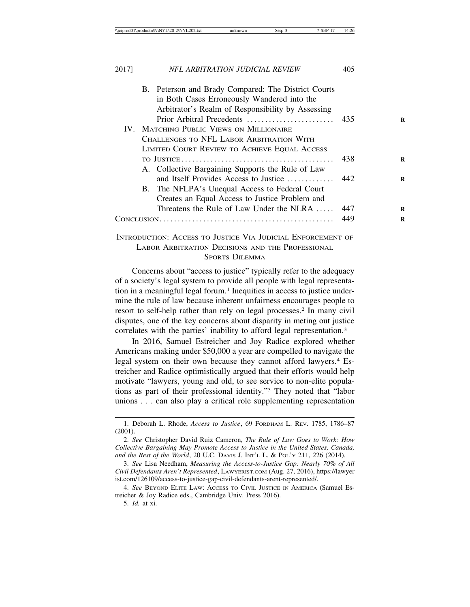|  | B. Peterson and Brady Compared: The District Courts                                                                                                         |     |
|--|-------------------------------------------------------------------------------------------------------------------------------------------------------------|-----|
|  | in Both Cases Erroneously Wandered into the                                                                                                                 |     |
|  | Arbitrator's Realm of Responsibility by Assessing                                                                                                           |     |
|  |                                                                                                                                                             |     |
|  | IV. MATCHING PUBLIC VIEWS ON MILLIONAIRE                                                                                                                    |     |
|  | CHALLENGES TO NFL LABOR ARBITRATION WITH                                                                                                                    |     |
|  | LIMITED COURT REVIEW TO ACHIEVE EQUAL ACCESS                                                                                                                |     |
|  |                                                                                                                                                             | 438 |
|  | A. Collective Bargaining Supports the Rule of Law                                                                                                           |     |
|  | and Itself Provides Access to Justice                                                                                                                       | 442 |
|  | B. The NFLPA's Unequal Access to Federal Court                                                                                                              |     |
|  | Creates an Equal Access to Justice Problem and                                                                                                              |     |
|  | Threatens the Rule of Law Under the NLRA                                                                                                                    | 447 |
|  | 449                                                                                                                                                         |     |
|  | $I_{\text{MIPD}\text{ODM/GPLOM}}$ , $\Lambda$ genes to $I_{\text{MOMG}}$ , $V_{\text{M}}$ , $I_{\text{MIMGUM}}$ , $E_{\text{MIPG}}$ en $E_{\text{MIPG}}$ or |     |

#### INTRODUCTION: ACCESS TO JUSTICE VIA JUDICIAL ENFORCEMENT OF LABOR ARBITRATION DECISIONS AND THE PROFESSIONAL SPORTS DILEMMA

Concerns about "access to justice" typically refer to the adequacy of a society's legal system to provide all people with legal representation in a meaningful legal forum.<sup>1</sup> Inequities in access to justice undermine the rule of law because inherent unfairness encourages people to resort to self-help rather than rely on legal processes.2 In many civil disputes, one of the key concerns about disparity in meting out justice correlates with the parties' inability to afford legal representation.3

In 2016, Samuel Estreicher and Joy Radice explored whether Americans making under \$50,000 a year are compelled to navigate the legal system on their own because they cannot afford lawyers.4 Estreicher and Radice optimistically argued that their efforts would help motivate "lawyers, young and old, to see service to non-elite populations as part of their professional identity."5 They noted that "labor unions . . . can also play a critical role supplementing representation

5. *Id.* at xi.

<sup>1.</sup> Deborah L. Rhode, *Access to Justice*, 69 FORDHAM L. REV. 1785, 1786–87 (2001).

<sup>2.</sup> *See* Christopher David Ruiz Cameron, *The Rule of Law Goes to Work: How Collective Bargaining May Promote Access to Justice in the United States, Canada, and the Rest of the World*, 20 U.C. DAVIS J. INT'L L. & POL'Y 211, 226 (2014).

<sup>3.</sup> *See* Lisa Needham, *Measuring the Access-to-Justice Gap: Nearly 70% of All Civil Defendants Aren't Represented*, LAWYERIST.COM (Aug. 27, 2016), https://lawyer ist.com/126109/access-to-justice-gap-civil-defendants-arent-represented/.

<sup>4.</sup> *See* BEYOND ELITE LAW: ACCESS TO CIVIL JUSTICE IN AMERICA (Samuel Estreicher & Joy Radice eds., Cambridge Univ. Press 2016).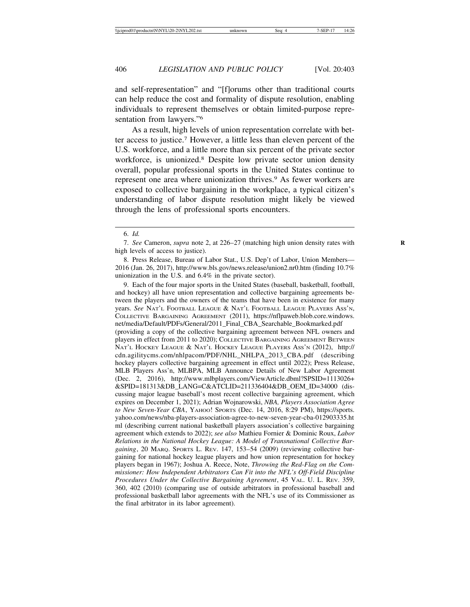and self-representation" and "[f]orums other than traditional courts can help reduce the cost and formality of dispute resolution, enabling individuals to represent themselves or obtain limited-purpose representation from lawyers."6

As a result, high levels of union representation correlate with better access to justice.7 However, a little less than eleven percent of the U.S. workforce, and a little more than six percent of the private sector workforce, is unionized.8 Despite low private sector union density overall, popular professional sports in the United States continue to represent one area where unionization thrives.<sup>9</sup> As fewer workers are exposed to collective bargaining in the workplace, a typical citizen's understanding of labor dispute resolution might likely be viewed through the lens of professional sports encounters.

9. Each of the four major sports in the United States (baseball, basketball, football, and hockey) all have union representation and collective bargaining agreements between the players and the owners of the teams that have been in existence for many years. *See* NAT'L FOOTBALL LEAGUE & NAT'L FOOTBALL LEAGUE PLAYERS ASS'N, COLLECTIVE BARGAINING AGREEMENT (2011), https://nflpaweb.blob.core.windows. net/media/Default/PDFs/General/2011\_Final\_CBA\_Searchable\_Bookmarked.pdf (providing a copy of the collective bargaining agreement between NFL owners and players in effect from 2011 to 2020); COLLECTIVE BARGAINING AGREEMENT BETWEEN NAT'L HOCKEY LEAGUE & NAT'L HOCKEY LEAGUE PLAYERS ASS'N (2012), http:// cdn.agilitycms.com/nhlpacom/PDF/NHL\_NHLPA\_2013\_CBA.pdf (describing hockey players collective bargaining agreement in effect until 2022); Press Release, MLB Players Ass'n, MLBPA, MLB Announce Details of New Labor Agreement (Dec. 2, 2016), http://www.mlbplayers.com/ViewArticle.dbml?SPSID=1113026+ &SPID=181313&DB\_LANG=C&ATCLID=211336404&DB\_OEM\_ID=34000 (discussing major league baseball's most recent collective bargaining agreement, which expires on December 1, 2021); Adrian Wojnarowski, *NBA, Players Association Agree to New Seven-Year CBA*, YAHOO! SPORTS (Dec. 14, 2016, 8:29 PM), https://sports. yahoo.com/news/nba-players-association-agree-to-new-seven-year-cba-012903335.ht ml (describing current national basketball players association's collective bargaining agreement which extends to 2022); *see also* Mathieu Fornier & Dominic Roux, *Labor Relations in the National Hockey League: A Model of Transnational Collective Bargaining*, 20 MARQ. SPORTS L. REV. 147, 153–54 (2009) (reviewing collective bargaining for national hockey league players and how union representation for hockey players began in 1967); Joshua A. Reece, Note, *Throwing the Red-Flag on the Commissioner: How Independent Arbitrators Can Fit into the NFL's Off-Field Discipline Procedures Under the Collective Bargaining Agreement*, 45 VAL. U. L. REV. 359, 360, 402 (2010) (comparing use of outside arbitrators in professional baseball and professional basketball labor agreements with the NFL's use of its Commissioner as the final arbitrator in its labor agreement).

<sup>6.</sup> *Id.*

<sup>7.</sup> *See* Cameron, *supra* note 2, at 226–27 (matching high union density rates with **R** high levels of access to justice).

<sup>8.</sup> Press Release, Bureau of Labor Stat., U.S. Dep't of Labor, Union Members— 2016 (Jan. 26, 2017), http://www.bls.gov/news.release/union2.nr0.htm (finding 10.7% unionization in the U.S. and 6.4% in the private sector).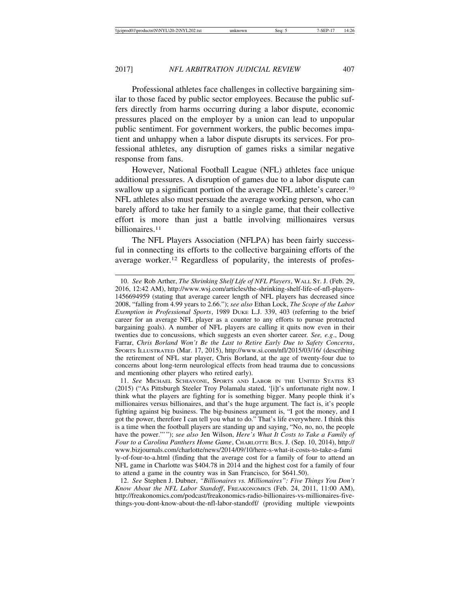Professional athletes face challenges in collective bargaining similar to those faced by public sector employees. Because the public suffers directly from harms occurring during a labor dispute, economic pressures placed on the employer by a union can lead to unpopular public sentiment. For government workers, the public becomes impatient and unhappy when a labor dispute disrupts its services. For professional athletes, any disruption of games risks a similar negative response from fans.

However, National Football League (NFL) athletes face unique additional pressures. A disruption of games due to a labor dispute can swallow up a significant portion of the average NFL athlete's career.<sup>10</sup> NFL athletes also must persuade the average working person, who can barely afford to take her family to a single game, that their collective effort is more than just a battle involving millionaires versus billionaires.<sup>11</sup>

The NFL Players Association (NFLPA) has been fairly successful in connecting its efforts to the collective bargaining efforts of the average worker.12 Regardless of popularity, the interests of profes-

11. *See* MICHAEL SCHIAVONE, SPORTS AND LABOR IN THE UNITED STATES 83 (2015) ("As Pittsburgh Steeler Troy Polamalu stated, '[i]t's unfortunate right now. I think what the players are fighting for is something bigger. Many people think it's millionaires versus billionaires, and that's the huge argument. The fact is, it's people fighting against big business. The big-business argument is, "I got the money, and I got the power, therefore I can tell you what to do." That's life everywhere. I think this is a time when the football players are standing up and saying, "No, no, no, the people have the power."'"); *see also* Jen Wilson, *Here's What It Costs to Take a Family of Four to a Carolina Panthers Home Game*, CHARLOTTE BUS. J. (Sep. 10, 2014), http:// www.bizjournals.com/charlotte/news/2014/09/10/here-s-what-it-costs-to-take-a-fami ly-of-four-to-a.html (finding that the average cost for a family of four to attend an NFL game in Charlotte was \$404.78 in 2014 and the highest cost for a family of four to attend a game in the country was in San Francisco, for \$641.50).

12. *See* Stephen J. Dubner, *"Billionaires vs. Millionaires": Five Things You Don't Know About the NFL Labor Standoff*, FREAKONOMICS (Feb. 24, 2011, 11:00 AM), http://freakonomics.com/podcast/freakonomics-radio-billionaires-vs-millionaires-fivethings-you-dont-know-about-the-nfl-labor-standoff/ (providing multiple viewpoints

<sup>10.</sup> *See* Rob Arther, *The Shrinking Shelf Life of NFL Players*, WALL ST. J. (Feb. 29, 2016, 12:42 AM), http://www.wsj.com/articles/the-shrinking-shelf-life-of-nfl-players-1456694959 (stating that average career length of NFL players has decreased since 2008, "falling from 4.99 years to 2.66."); *see also* Ethan Lock, *The Scope of the Labor Exemption in Professional Sports*, 1989 DUKE L.J. 339, 403 (referring to the brief career for an average NFL player as a counter to any efforts to pursue protracted bargaining goals). A number of NFL players are calling it quits now even in their twenties due to concussions, which suggests an even shorter career*. See, e.g*., Doug Farrar, *Chris Borland Won't Be the Last to Retire Early Due to Safety Concerns*, SPORTS ILLUSTRATED (Mar. 17, 2015), http://www.si.com/nfl/2015/03/16/ (describing the retirement of NFL star player, Chris Borland, at the age of twenty-four due to concerns about long-term neurological effects from head trauma due to concussions and mentioning other players who retired early).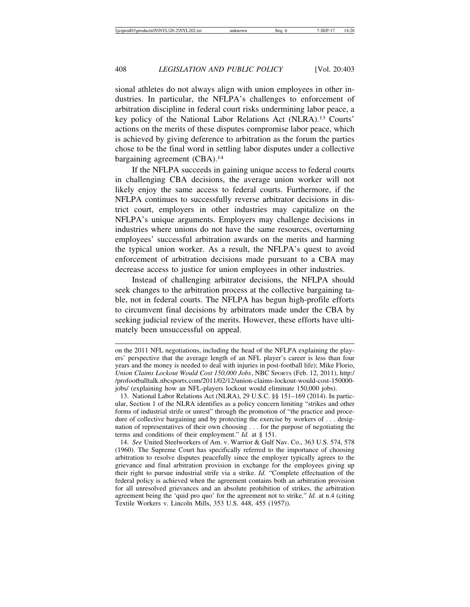sional athletes do not always align with union employees in other industries. In particular, the NFLPA's challenges to enforcement of arbitration discipline in federal court risks undermining labor peace, a key policy of the National Labor Relations Act (NLRA).13 Courts' actions on the merits of these disputes compromise labor peace, which is achieved by giving deference to arbitration as the forum the parties chose to be the final word in settling labor disputes under a collective bargaining agreement (CBA).<sup>14</sup>

If the NFLPA succeeds in gaining unique access to federal courts in challenging CBA decisions, the average union worker will not likely enjoy the same access to federal courts. Furthermore, if the NFLPA continues to successfully reverse arbitrator decisions in district court, employers in other industries may capitalize on the NFLPA's unique arguments. Employers may challenge decisions in industries where unions do not have the same resources, overturning employees' successful arbitration awards on the merits and harming the typical union worker. As a result, the NFLPA's quest to avoid enforcement of arbitration decisions made pursuant to a CBA may decrease access to justice for union employees in other industries.

Instead of challenging arbitrator decisions, the NFLPA should seek changes to the arbitration process at the collective bargaining table, not in federal courts. The NFLPA has begun high-profile efforts to circumvent final decisions by arbitrators made under the CBA by seeking judicial review of the merits. However, these efforts have ultimately been unsuccessful on appeal.

on the 2011 NFL negotiations, including the head of the NFLPA explaining the players' perspective that the average length of an NFL player's career is less than four years and the money is needed to deal with injuries in post-football life); Mike Florio, *Union Claims Lockout Would Cost 150,000 Jobs*, NBC SPORTS (Feb. 12, 2011), http:/ /profootballtalk.nbcsports.com/2011/02/12/union-claims-lockout-would-cost-150000 jobs/ (explaining how an NFL-players lockout would eliminate 150,000 jobs).

<sup>13.</sup> National Labor Relations Act (NLRA), 29 U.S.C. §§ 151–169 (2014). In particular, Section 1 of the NLRA identifies as a policy concern limiting "strikes and other forms of industrial strife or unrest" through the promotion of "the practice and procedure of collective bargaining and by protecting the exercise by workers of . . . designation of representatives of their own choosing . . . for the purpose of negotiating the terms and conditions of their employment." *Id.* at § 151.

<sup>14.</sup> *See* United Steelworkers of Am. v. Warrior & Gulf Nav. Co., 363 U.S. 574, 578 (1960). The Supreme Court has specifically referred to the importance of choosing arbitration to resolve disputes peacefully since the employer typically agrees to the grievance and final arbitration provision in exchange for the employees giving up their right to pursue industrial strife via a strike. *Id.* "Complete effectuation of the federal policy is achieved when the agreement contains both an arbitration provision for all unresolved grievances and an absolute prohibition of strikes, the arbitration agreement being the 'quid pro quo' for the agreement not to strike." *Id.* at n.4 (citing Textile Workers v. Lincoln Mills, 353 U.S. 448, 455 (1957)).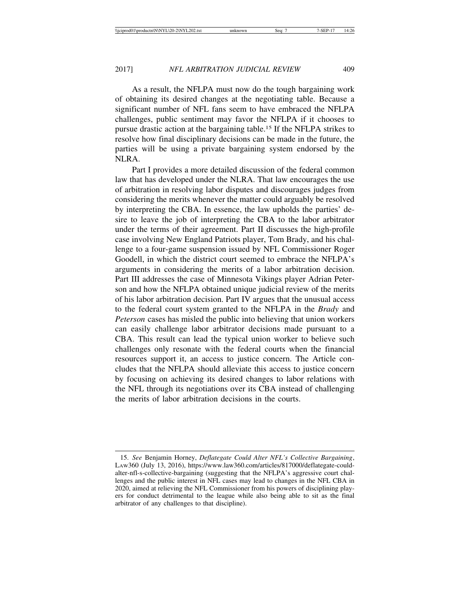As a result, the NFLPA must now do the tough bargaining work of obtaining its desired changes at the negotiating table. Because a significant number of NFL fans seem to have embraced the NFLPA challenges, public sentiment may favor the NFLPA if it chooses to pursue drastic action at the bargaining table.15 If the NFLPA strikes to resolve how final disciplinary decisions can be made in the future, the parties will be using a private bargaining system endorsed by the NLRA.

Part I provides a more detailed discussion of the federal common law that has developed under the NLRA. That law encourages the use of arbitration in resolving labor disputes and discourages judges from considering the merits whenever the matter could arguably be resolved by interpreting the CBA. In essence, the law upholds the parties' desire to leave the job of interpreting the CBA to the labor arbitrator under the terms of their agreement. Part II discusses the high-profile case involving New England Patriots player, Tom Brady, and his challenge to a four-game suspension issued by NFL Commissioner Roger Goodell, in which the district court seemed to embrace the NFLPA's arguments in considering the merits of a labor arbitration decision. Part III addresses the case of Minnesota Vikings player Adrian Peterson and how the NFLPA obtained unique judicial review of the merits of his labor arbitration decision. Part IV argues that the unusual access to the federal court system granted to the NFLPA in the *Brady* and *Peterson* cases has misled the public into believing that union workers can easily challenge labor arbitrator decisions made pursuant to a CBA. This result can lead the typical union worker to believe such challenges only resonate with the federal courts when the financial resources support it, an access to justice concern. The Article concludes that the NFLPA should alleviate this access to justice concern by focusing on achieving its desired changes to labor relations with the NFL through its negotiations over its CBA instead of challenging the merits of labor arbitration decisions in the courts.

<sup>15.</sup> *See* Benjamin Horney, *Deflategate Could Alter NFL's Collective Bargaining*, LAW360 (July 13, 2016), https://www.law360.com/articles/817000/deflategate-couldalter-nfl-s-collective-bargaining (suggesting that the NFLPA's aggressive court challenges and the public interest in NFL cases may lead to changes in the NFL CBA in 2020, aimed at relieving the NFL Commissioner from his powers of disciplining players for conduct detrimental to the league while also being able to sit as the final arbitrator of any challenges to that discipline).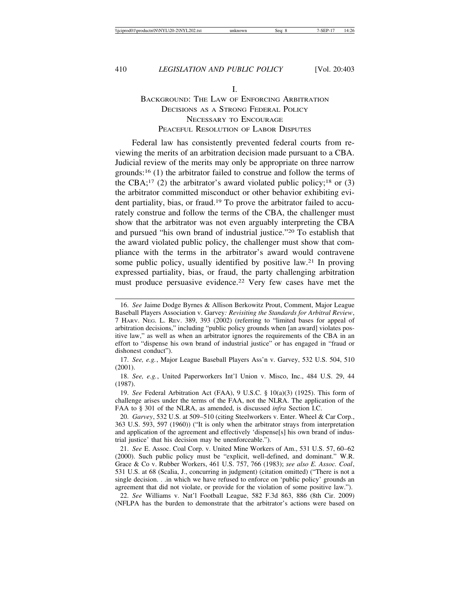I.

#### BACKGROUND: THE LAW OF ENFORCING ARBITRATION DECISIONS AS A STRONG FEDERAL POLICY NECESSARY TO ENCOURAGE PEACEFUL RESOLUTION OF LABOR DISPUTES

Federal law has consistently prevented federal courts from reviewing the merits of an arbitration decision made pursuant to a CBA. Judicial review of the merits may only be appropriate on three narrow grounds:16 (1) the arbitrator failed to construe and follow the terms of the CBA;<sup>17</sup> (2) the arbitrator's award violated public policy;<sup>18</sup> or (3) the arbitrator committed misconduct or other behavior exhibiting evident partiality, bias, or fraud.19 To prove the arbitrator failed to accurately construe and follow the terms of the CBA, the challenger must show that the arbitrator was not even arguably interpreting the CBA and pursued "his own brand of industrial justice."20 To establish that the award violated public policy, the challenger must show that compliance with the terms in the arbitrator's award would contravene some public policy, usually identified by positive law.21 In proving expressed partiality, bias, or fraud, the party challenging arbitration must produce persuasive evidence.22 Very few cases have met the

17. *See, e.g.*, Major League Baseball Players Ass'n v. Garvey, 532 U.S. 504, 510 (2001).

18. *See, e.g.*, United Paperworkers Int'l Union v. Misco, Inc., 484 U.S. 29, 44 (1987).

19. *See* Federal Arbitration Act (FAA), 9 U.S.C. § 10(a)(3) (1925). This form of challenge arises under the terms of the FAA, not the NLRA. The application of the FAA to § 301 of the NLRA, as amended, is discussed *infra* Section I.C.

22. *See* Williams v. Nat'l Football League, 582 F.3d 863, 886 (8th Cir. 2009) (NFLPA has the burden to demonstrate that the arbitrator's actions were based on

<sup>16.</sup> *See* Jaime Dodge Byrnes & Allison Berkowitz Prout, Comment, Major League Baseball Players Association v. Garvey*: Revisiting the Standards for Arbitral Review*, 7 HARV. NEG. L. REV. 389, 393 (2002) (referring to "limited bases for appeal of arbitration decisions," including "public policy grounds when [an award] violates positive law," as well as when an arbitrator ignores the requirements of the CBA in an effort to "dispense his own brand of industrial justice" or has engaged in "fraud or dishonest conduct").

<sup>20.</sup> *Garvey*, 532 U.S. at 509–510 (citing Steelworkers v. Enter. Wheel & Car Corp., 363 U.S. 593, 597 (1960)) ("It is only when the arbitrator strays from interpretation and application of the agreement and effectively 'dispense[s] his own brand of industrial justice' that his decision may be unenforceable.").

<sup>21.</sup> *See* E. Assoc. Coal Corp. v. United Mine Workers of Am., 531 U.S. 57, 60–62 (2000). Such public policy must be "explicit, well-defined, and dominant." W.R. Grace & Co v. Rubber Workers, 461 U.S. 757, 766 (1983); *see also E. Assoc. Coal*, 531 U.S. at 68 (Scalia, J., concurring in judgment) (citation omitted) ("There is not a single decision. . .in which we have refused to enforce on 'public policy' grounds an agreement that did not violate, or provide for the violation of some positive law.").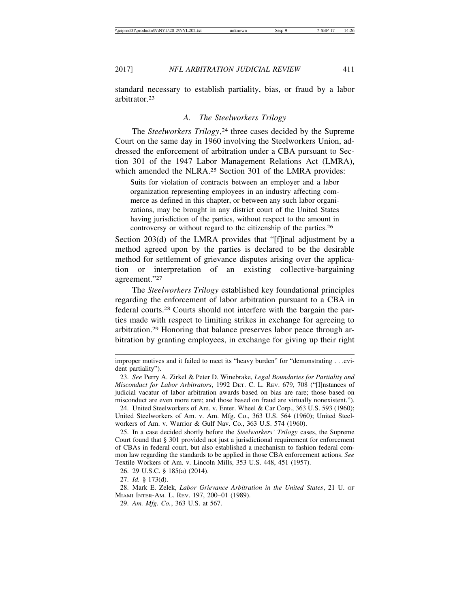standard necessary to establish partiality, bias, or fraud by a labor arbitrator.23

#### *A. The Steelworkers Trilogy*

The *Steelworkers Trilogy*, 24 three cases decided by the Supreme Court on the same day in 1960 involving the Steelworkers Union, addressed the enforcement of arbitration under a CBA pursuant to Section 301 of the 1947 Labor Management Relations Act (LMRA), which amended the NLRA.<sup>25</sup> Section 301 of the LMRA provides:

Suits for violation of contracts between an employer and a labor organization representing employees in an industry affecting commerce as defined in this chapter, or between any such labor organizations, may be brought in any district court of the United States having jurisdiction of the parties, without respect to the amount in controversy or without regard to the citizenship of the parties.<sup>26</sup>

Section 203(d) of the LMRA provides that "[f]inal adjustment by a method agreed upon by the parties is declared to be the desirable method for settlement of grievance disputes arising over the application or interpretation of an existing collective-bargaining agreement."27

The *Steelworkers Trilogy* established key foundational principles regarding the enforcement of labor arbitration pursuant to a CBA in federal courts.28 Courts should not interfere with the bargain the parties made with respect to limiting strikes in exchange for agreeing to arbitration.29 Honoring that balance preserves labor peace through arbitration by granting employees, in exchange for giving up their right

26. 29 U.S.C. § 185(a) (2014).

27. *Id.* § 173(d).

28. Mark E. Zelek, *Labor Grievance Arbitration in the United States*, 21 U. OF MIAMI INTER-AM. L. REV. 197, 200–01 (1989).

29. *Am. Mfg. Co.*, 363 U.S. at 567.

improper motives and it failed to meet its "heavy burden" for "demonstrating . . .evident partiality").

<sup>23.</sup> *See* Perry A. Zirkel & Peter D. Winebrake, *Legal Boundaries for Partiality and Misconduct for Labor Arbitrators*, 1992 DET. C. L. REV. 679, 708 ("[I]nstances of judicial vacatur of labor arbitration awards based on bias are rare; those based on misconduct are even more rare; and those based on fraud are virtually nonexistent.").

<sup>24.</sup> United Steelworkers of Am. v. Enter. Wheel & Car Corp., 363 U.S. 593 (1960); United Steelworkers of Am. v. Am. Mfg. Co., 363 U.S. 564 (1960); United Steelworkers of Am. v. Warrior & Gulf Nav. Co., 363 U.S. 574 (1960).

<sup>25.</sup> In a case decided shortly before the *Steelworkers' Trilogy* cases, the Supreme Court found that § 301 provided not just a jurisdictional requirement for enforcement of CBAs in federal court, but also established a mechanism to fashion federal common law regarding the standards to be applied in those CBA enforcement actions. *See* Textile Workers of Am. v. Lincoln Mills, 353 U.S. 448, 451 (1957).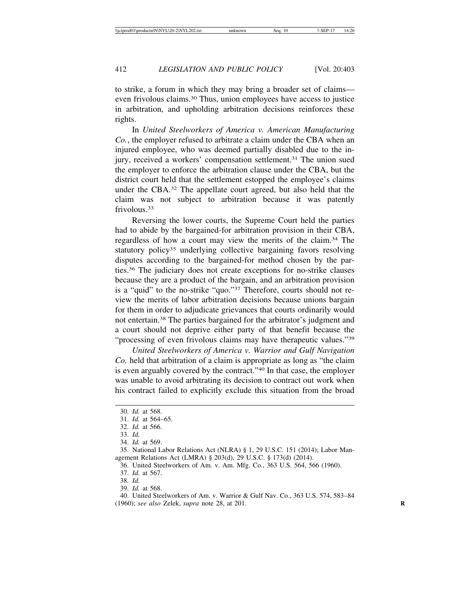to strike, a forum in which they may bring a broader set of claims even frivolous claims.30 Thus, union employees have access to justice in arbitration, and upholding arbitration decisions reinforces these rights.

In *United Steelworkers of America v. American Manufacturing Co.*, the employer refused to arbitrate a claim under the CBA when an injured employee, who was deemed partially disabled due to the injury, received a workers' compensation settlement.<sup>31</sup> The union sued the employer to enforce the arbitration clause under the CBA, but the district court held that the settlement estopped the employee's claims under the CBA.32 The appellate court agreed, but also held that the claim was not subject to arbitration because it was patently frivolous<sup>33</sup>

Reversing the lower courts, the Supreme Court held the parties had to abide by the bargained-for arbitration provision in their CBA, regardless of how a court may view the merits of the claim.34 The statutory policy<sup>35</sup> underlying collective bargaining favors resolving disputes according to the bargained-for method chosen by the parties.36 The judiciary does not create exceptions for no-strike clauses because they are a product of the bargain, and an arbitration provision is a "quid" to the no-strike "quo."37 Therefore, courts should not review the merits of labor arbitration decisions because unions bargain for them in order to adjudicate grievances that courts ordinarily would not entertain.38 The parties bargained for the arbitrator's judgment and a court should not deprive either party of that benefit because the "processing of even frivolous claims may have therapeutic values."<sup>39</sup>

*United Steelworkers of America v. Warrior and Gulf Navigation Co.* held that arbitration of a claim is appropriate as long as "the claim is even arguably covered by the contract."40 In that case, the employer was unable to avoid arbitrating its decision to contract out work when his contract failed to explicitly exclude this situation from the broad

37. *Id.* at 567.

38. *Id.*

39. *Id.* at 568.

40. United Steelworkers of Am. v. Warrior & Gulf Nav. Co., 363 U.S. 574, 583–84 (1960); *see also* Zelek, *supra* note 28, at 201. **R**

<sup>30.</sup> *Id.* at 568.

<sup>31.</sup> *Id.* at 564–65.

<sup>32.</sup> *Id.* at 566.

<sup>33.</sup> *Id.*

<sup>34.</sup> *Id.* at 569.

<sup>35.</sup> National Labor Relations Act (NLRA) § 1, 29 U.S.C. 151 (2014); Labor Management Relations Act (LMRA) § 203(d), 29 U.S.C. § 173(d) (2014).

<sup>36.</sup> United Steelworkers of Am. v. Am. Mfg. Co., 363 U.S. 564, 566 (1960).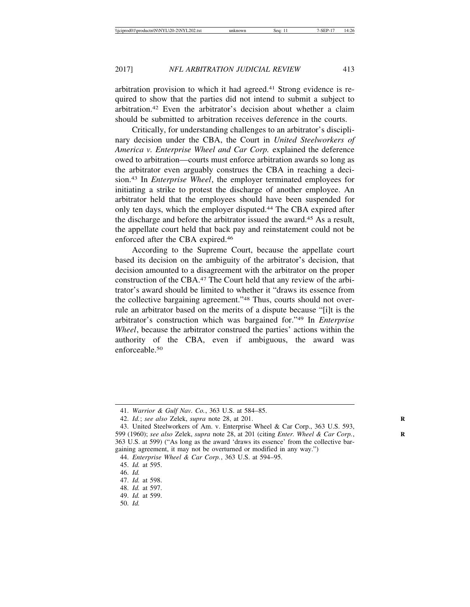arbitration provision to which it had agreed.41 Strong evidence is required to show that the parties did not intend to submit a subject to arbitration.42 Even the arbitrator's decision about whether a claim should be submitted to arbitration receives deference in the courts.

Critically, for understanding challenges to an arbitrator's disciplinary decision under the CBA, the Court in *United Steelworkers of America v. Enterprise Wheel and Car Corp.* explained the deference owed to arbitration—courts must enforce arbitration awards so long as the arbitrator even arguably construes the CBA in reaching a decision.43 In *Enterprise Wheel*, the employer terminated employees for initiating a strike to protest the discharge of another employee. An arbitrator held that the employees should have been suspended for only ten days, which the employer disputed.44 The CBA expired after the discharge and before the arbitrator issued the award.45 As a result, the appellate court held that back pay and reinstatement could not be enforced after the CBA expired.46

According to the Supreme Court, because the appellate court based its decision on the ambiguity of the arbitrator's decision, that decision amounted to a disagreement with the arbitrator on the proper construction of the CBA.47 The Court held that any review of the arbitrator's award should be limited to whether it "draws its essence from the collective bargaining agreement."48 Thus, courts should not overrule an arbitrator based on the merits of a dispute because "[i]t is the arbitrator's construction which was bargained for."49 In *Enterprise Wheel*, because the arbitrator construed the parties' actions within the authority of the CBA, even if ambiguous, the award was enforceable.50

50. *Id.*

<sup>41.</sup> *Warrior & Gulf Nav. Co.*, 363 U.S. at 584–85.

<sup>42.</sup> *Id.*; *see also* Zelek, *supra* note 28, at 201. **R**

<sup>43.</sup> United Steelworkers of Am. v. Enterprise Wheel & Car Corp., 363 U.S. 593, 599 (1960); *see also* Zelek, *supra* note 28, at 201 (citing *Enter. Wheel & Car Corp.*, **R** 363 U.S. at 599) ("As long as the award 'draws its essence' from the collective bargaining agreement, it may not be overturned or modified in any way.")

<sup>44.</sup> *Enterprise Wheel & Car Corp.*, 363 U.S. at 594–95.

<sup>45.</sup> *Id.* at 595.

<sup>46.</sup> *Id.*

<sup>47.</sup> *Id.* at 598.

<sup>48.</sup> *Id.* at 597.

<sup>49.</sup> *Id.* at 599.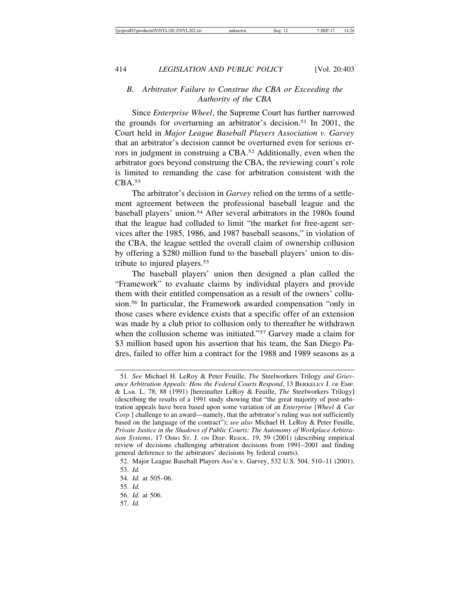#### *B. Arbitrator Failure to Construe the CBA or Exceeding the Authority of the CBA*

Since *Enterprise Wheel*, the Supreme Court has further narrowed the grounds for overturning an arbitrator's decision.51 In 2001, the Court held in *Major League Baseball Players Association v. Garvey* that an arbitrator's decision cannot be overturned even for serious errors in judgment in construing a CBA.52 Additionally, even when the arbitrator goes beyond construing the CBA, the reviewing court's role is limited to remanding the case for arbitration consistent with the CBA.53

The arbitrator's decision in *Garvey* relied on the terms of a settlement agreement between the professional baseball league and the baseball players' union.54 After several arbitrators in the 1980s found that the league had colluded to limit "the market for free-agent services after the 1985, 1986, and 1987 baseball seasons," in violation of the CBA, the league settled the overall claim of ownership collusion by offering a \$280 million fund to the baseball players' union to distribute to injured players.55

The baseball players' union then designed a plan called the "Framework" to evaluate claims by individual players and provide them with their entitled compensation as a result of the owners' collusion.56 In particular, the Framework awarded compensation "only in those cases where evidence exists that a specific offer of an extension was made by a club prior to collusion only to thereafter be withdrawn when the collusion scheme was initiated."<sup>57</sup> Garvey made a claim for \$3 million based upon his assertion that his team, the San Diego Padres, failed to offer him a contract for the 1988 and 1989 seasons as a

57. *Id.* 

<sup>51.</sup> *See* Michael H. LeRoy & Peter Feuille, *The* Steelworkers Trilogy *and Grievance Arbitration Appeals: How the Federal Courts Respond*, 13 BERKELEY J. OF EMP. & LAB. L. 78, 88 (1991) [hereinafter LeRoy & Feuille, *The* Steelworkers Trilogy] (describing the results of a 1991 study showing that "the great majority of post-arbitration appeals have been based upon some variation of an *Enterprise* [*Wheel & Car Corp.*] challenge to an award—namely, that the arbitrator's ruling was not sufficiently based on the language of the contract"); *see also* Michael H. LeRoy & Peter Feuille, *Private Justice in the Shadows of Public Courts: The Autonomy of Workplace Arbitration Systems*, 17 OHIO ST. J. ON DISP. RESOL. 19, 59 (2001) (describing empirical review of decisions challenging arbitration decisions from 1991–2001 and finding general deference to the arbitrators' decisions by federal courts).

<sup>52.</sup> Major League Baseball Players Ass'n v. Garvey, 532 U.S. 504, 510–11 (2001). 53. *Id.*

<sup>54.</sup> *Id.* at 505–06.

<sup>55.</sup> *Id.*

<sup>56.</sup> *Id.* at 506.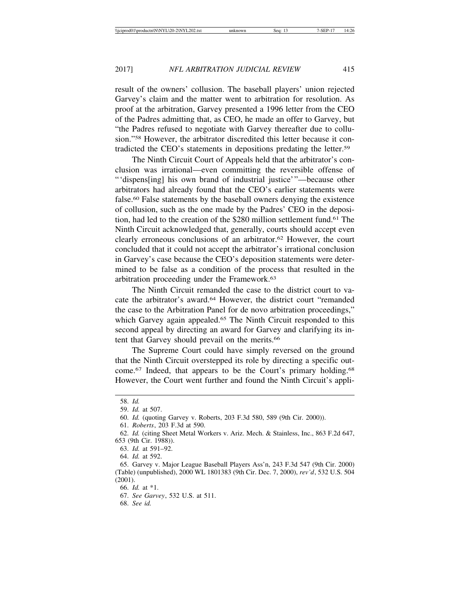result of the owners' collusion. The baseball players' union rejected Garvey's claim and the matter went to arbitration for resolution. As proof at the arbitration, Garvey presented a 1996 letter from the CEO of the Padres admitting that, as CEO, he made an offer to Garvey, but "the Padres refused to negotiate with Garvey thereafter due to collusion."58 However, the arbitrator discredited this letter because it contradicted the CEO's statements in depositions predating the letter.59

The Ninth Circuit Court of Appeals held that the arbitrator's conclusion was irrational—even committing the reversible offense of "'dispens[ing] his own brand of industrial justice'"—because other arbitrators had already found that the CEO's earlier statements were false.60 False statements by the baseball owners denying the existence of collusion, such as the one made by the Padres' CEO in the deposition, had led to the creation of the \$280 million settlement fund.61 The Ninth Circuit acknowledged that, generally, courts should accept even clearly erroneous conclusions of an arbitrator.62 However, the court concluded that it could not accept the arbitrator's irrational conclusion in Garvey's case because the CEO's deposition statements were determined to be false as a condition of the process that resulted in the arbitration proceeding under the Framework.63

The Ninth Circuit remanded the case to the district court to vacate the arbitrator's award.64 However, the district court "remanded the case to the Arbitration Panel for de novo arbitration proceedings," which Garvey again appealed.<sup>65</sup> The Ninth Circuit responded to this second appeal by directing an award for Garvey and clarifying its intent that Garvey should prevail on the merits.<sup>66</sup>

The Supreme Court could have simply reversed on the ground that the Ninth Circuit overstepped its role by directing a specific outcome.<sup>67</sup> Indeed, that appears to be the Court's primary holding.<sup>68</sup> However, the Court went further and found the Ninth Circuit's appli-

68. *See id.*

<sup>58.</sup> *Id.*

<sup>59.</sup> *Id.* at 507.

<sup>60.</sup> *Id.* (quoting Garvey v. Roberts, 203 F.3d 580, 589 (9th Cir. 2000)).

<sup>61.</sup> *Roberts*, 203 F.3d at 590.

<sup>62.</sup> *Id.* (citing Sheet Metal Workers v. Ariz. Mech. & Stainless, Inc., 863 F.2d 647, 653 (9th Cir. 1988)).

<sup>63.</sup> *Id.* at 591–92.

<sup>64.</sup> *Id.* at 592.

<sup>65.</sup> Garvey v. Major League Baseball Players Ass'n, 243 F.3d 547 (9th Cir. 2000) (Table) (unpublished), 2000 WL 1801383 (9th Cir. Dec. 7, 2000), *rev'd*, 532 U.S. 504 (2001).

<sup>66.</sup> *Id.* at \*1.

<sup>67.</sup> *See Garvey*, 532 U.S. at 511.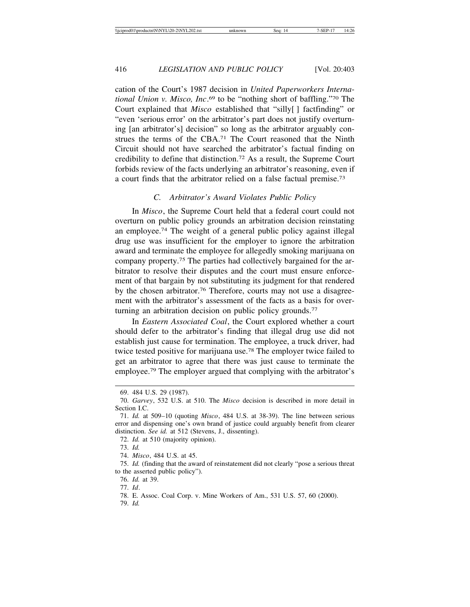cation of the Court's 1987 decision in *United Paperworkers International Union v. Misco, Inc*. 69 to be "nothing short of baffling."70 The Court explained that *Misco* established that "silly[ ] factfinding" or "even 'serious error' on the arbitrator's part does not justify overturning [an arbitrator's] decision" so long as the arbitrator arguably construes the terms of the CBA.71 The Court reasoned that the Ninth Circuit should not have searched the arbitrator's factual finding on credibility to define that distinction.72 As a result, the Supreme Court forbids review of the facts underlying an arbitrator's reasoning, even if a court finds that the arbitrator relied on a false factual premise.73

#### *C. Arbitrator's Award Violates Public Policy*

In *Misco*, the Supreme Court held that a federal court could not overturn on public policy grounds an arbitration decision reinstating an employee.74 The weight of a general public policy against illegal drug use was insufficient for the employer to ignore the arbitration award and terminate the employee for allegedly smoking marijuana on company property.75 The parties had collectively bargained for the arbitrator to resolve their disputes and the court must ensure enforcement of that bargain by not substituting its judgment for that rendered by the chosen arbitrator.76 Therefore, courts may not use a disagreement with the arbitrator's assessment of the facts as a basis for overturning an arbitration decision on public policy grounds.<sup>77</sup>

In *Eastern Associated Coal*, the Court explored whether a court should defer to the arbitrator's finding that illegal drug use did not establish just cause for termination. The employee, a truck driver, had twice tested positive for marijuana use.78 The employer twice failed to get an arbitrator to agree that there was just cause to terminate the employee.79 The employer argued that complying with the arbitrator's

72. *Id.* at 510 (majority opinion).

76. *Id.* at 39.

77. *Id*.

79. *Id.*

<sup>69. 484</sup> U.S. 29 (1987).

<sup>70.</sup> *Garvey*, 532 U.S. at 510. The *Misco* decision is described in more detail in Section I.C.

<sup>71.</sup> *Id.* at 509–10 (quoting *Misco*, 484 U.S. at 38-39). The line between serious error and dispensing one's own brand of justice could arguably benefit from clearer distinction. *See id.* at 512 (Stevens, J., dissenting).

<sup>73.</sup> *Id.*

<sup>74.</sup> *Misco*, 484 U.S. at 45.

<sup>75.</sup> *Id.* (finding that the award of reinstatement did not clearly "pose a serious threat to the asserted public policy").

<sup>78.</sup> E. Assoc. Coal Corp. v. Mine Workers of Am., 531 U.S. 57, 60 (2000).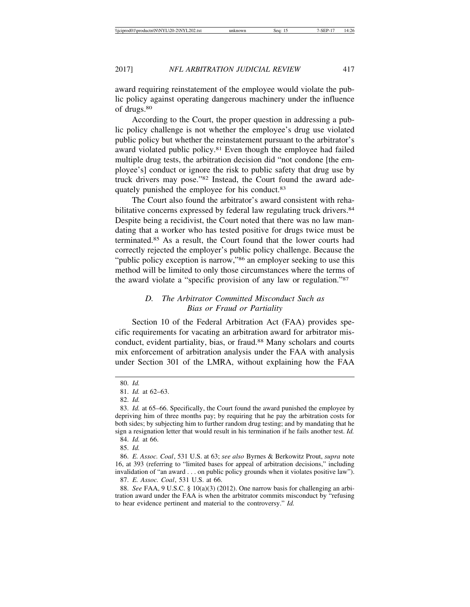award requiring reinstatement of the employee would violate the public policy against operating dangerous machinery under the influence of drugs.80

According to the Court, the proper question in addressing a public policy challenge is not whether the employee's drug use violated public policy but whether the reinstatement pursuant to the arbitrator's award violated public policy.<sup>81</sup> Even though the employee had failed multiple drug tests, the arbitration decision did "not condone [the employee's] conduct or ignore the risk to public safety that drug use by truck drivers may pose."82 Instead, the Court found the award adequately punished the employee for his conduct.83

The Court also found the arbitrator's award consistent with rehabilitative concerns expressed by federal law regulating truck drivers.<sup>84</sup> Despite being a recidivist, the Court noted that there was no law mandating that a worker who has tested positive for drugs twice must be terminated.85 As a result, the Court found that the lower courts had correctly rejected the employer's public policy challenge. Because the "public policy exception is narrow,"<sup>86</sup> an employer seeking to use this method will be limited to only those circumstances where the terms of the award violate a "specific provision of any law or regulation."87

#### *D. The Arbitrator Committed Misconduct Such as Bias or Fraud or Partiality*

Section 10 of the Federal Arbitration Act (FAA) provides specific requirements for vacating an arbitration award for arbitrator misconduct, evident partiality, bias, or fraud.<sup>88</sup> Many scholars and courts mix enforcement of arbitration analysis under the FAA with analysis under Section 301 of the LMRA, without explaining how the FAA

85. *Id.*

<sup>80.</sup> *Id.*

<sup>81.</sup> *Id.* at 62–63.

<sup>82.</sup> *Id.*

<sup>83.</sup> *Id.* at 65–66. Specifically, the Court found the award punished the employee by depriving him of three months pay; by requiring that he pay the arbitration costs for both sides; by subjecting him to further random drug testing; and by mandating that he sign a resignation letter that would result in his termination if he fails another test. *Id.*

<sup>84.</sup> *Id.* at 66.

<sup>86.</sup> *E. Assoc. Coal*, 531 U.S. at 63; *see also* Byrnes & Berkowitz Prout, *supra* note 16, at 393 (referring to "limited bases for appeal of arbitration decisions," including invalidation of "an award . . . on public policy grounds when it violates positive law"). 87. *E. Assoc. Coal*, 531 U.S. at 66.

<sup>88.</sup> *See* FAA, 9 U.S.C. § 10(a)(3) (2012). One narrow basis for challenging an arbitration award under the FAA is when the arbitrator commits misconduct by "refusing to hear evidence pertinent and material to the controversy." *Id.*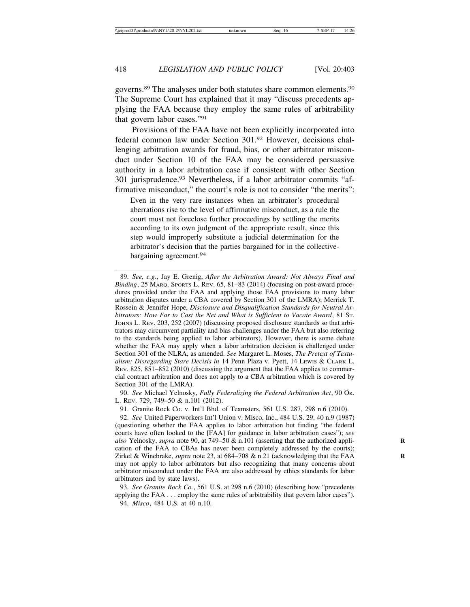governs.89 The analyses under both statutes share common elements.90 The Supreme Court has explained that it may "discuss precedents applying the FAA because they employ the same rules of arbitrability that govern labor cases."91

Provisions of the FAA have not been explicitly incorporated into federal common law under Section 301.92 However, decisions challenging arbitration awards for fraud, bias, or other arbitrator misconduct under Section 10 of the FAA may be considered persuasive authority in a labor arbitration case if consistent with other Section 301 jurisprudence.93 Nevertheless, if a labor arbitrator commits "affirmative misconduct," the court's role is not to consider "the merits":

Even in the very rare instances when an arbitrator's procedural aberrations rise to the level of affirmative misconduct, as a rule the court must not foreclose further proceedings by settling the merits according to its own judgment of the appropriate result, since this step would improperly substitute a judicial determination for the arbitrator's decision that the parties bargained for in the collectivebargaining agreement.<sup>94</sup>

90. *See* Michael Yelnosky, *Fully Federalizing the Federal Arbitration Act*, 90 OR. L. REV. 729, 749–50 & n.101 (2012).

91. Granite Rock Co. v. Int'l Bhd. of Teamsters, 561 U.S. 287, 298 n.6 (2010).

92. *See* United Paperworkers Int'l Union v. Misco, Inc., 484 U.S. 29, 40 n.9 (1987) (questioning whether the FAA applies to labor arbitration but finding "the federal courts have often looked to the [FAA] for guidance in labor arbitration cases"); *see also* Yelnosky, *supra* note 90, at 749–50 & n.101 (asserting that the authorized appli- **R** cation of the FAA to CBAs has never been completely addressed by the courts); Zirkel & Winebrake, *supra* note 23, at 684–708 & n.21 (acknowledging that the FAA may not apply to labor arbitrators but also recognizing that many concerns about arbitrator misconduct under the FAA are also addressed by ethics standards for labor arbitrators and by state laws).

93. *See Granite Rock Co.*, 561 U.S. at 298 n.6 (2010) (describing how "precedents applying the FAA . . . employ the same rules of arbitrability that govern labor cases").

94. *Misco*, 484 U.S. at 40 n.10.

<sup>89.</sup> *See, e.g.*, Jay E. Grenig, *After the Arbitration Award: Not Always Final and Binding*, 25 MARQ. SPORTS L. REV. 65, 81–83 (2014) (focusing on post-award procedures provided under the FAA and applying those FAA provisions to many labor arbitration disputes under a CBA covered by Section 301 of the LMRA); Merrick T. Rossein & Jennifer Hope, *Disclosure and Disqualification Standards for Neutral Arbitrators: How Far to Cast the Net and What is Sufficient to Vacate Award*, 81 ST. JOHNS L. REV. 203, 252 (2007) (discussing proposed disclosure standards so that arbitrators may circumvent partiality and bias challenges under the FAA but also referring to the standards being applied to labor arbitrators). However, there is some debate whether the FAA may apply when a labor arbitration decision is challenged under Section 301 of the NLRA, as amended. *See* Margaret L. Moses, *The Pretext of Textualism: Disregarding Stare Decisis in* 14 Penn Plaza v. Pyett, 14 LEWIS & CLARK L. REV. 825, 851–852 (2010) (discussing the argument that the FAA applies to commercial contract arbitration and does not apply to a CBA arbitration which is covered by Section 301 of the LMRA).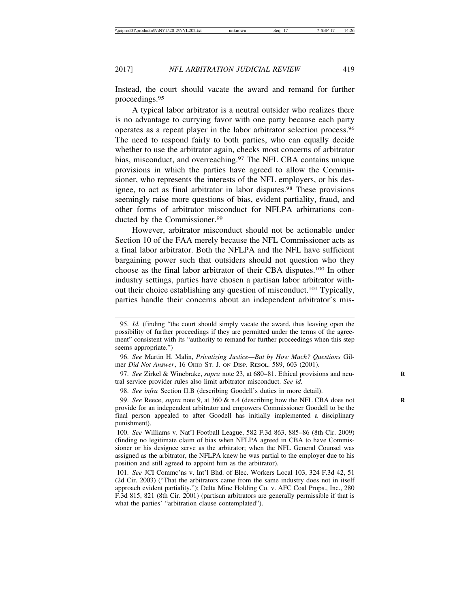Instead, the court should vacate the award and remand for further proceedings.95

A typical labor arbitrator is a neutral outsider who realizes there is no advantage to currying favor with one party because each party operates as a repeat player in the labor arbitrator selection process.96 The need to respond fairly to both parties, who can equally decide whether to use the arbitrator again, checks most concerns of arbitrator bias, misconduct, and overreaching.<sup>97</sup> The NFL CBA contains unique provisions in which the parties have agreed to allow the Commissioner, who represents the interests of the NFL employers, or his designee, to act as final arbitrator in labor disputes.<sup>98</sup> These provisions seemingly raise more questions of bias, evident partiality, fraud, and other forms of arbitrator misconduct for NFLPA arbitrations conducted by the Commissioner.<sup>99</sup>

However, arbitrator misconduct should not be actionable under Section 10 of the FAA merely because the NFL Commissioner acts as a final labor arbitrator. Both the NFLPA and the NFL have sufficient bargaining power such that outsiders should not question who they choose as the final labor arbitrator of their CBA disputes.100 In other industry settings, parties have chosen a partisan labor arbitrator without their choice establishing any question of misconduct.101 Typically, parties handle their concerns about an independent arbitrator's mis-

98. *See infra* Section II.B (describing Goodell's duties in more detail).

<sup>95.</sup> *Id.* (finding "the court should simply vacate the award, thus leaving open the possibility of further proceedings if they are permitted under the terms of the agreement" consistent with its "authority to remand for further proceedings when this step seems appropriate.")

<sup>96.</sup> *See* Martin H. Malin, *Privatizing Justice—But by How Much? Questions* Gilmer *Did Not Answer*, 16 OHIO ST. J. ON DISP. RESOL. 589, 603 (2001).

<sup>97.</sup> *See* Zirkel & Winebrake, *supra* note 23, at 680–81. Ethical provisions and neu- **R** tral service provider rules also limit arbitrator misconduct. *See id.*

<sup>99.</sup> *See* Reece, *supra* note 9, at 360 & n.4 (describing how the NFL CBA does not **R** provide for an independent arbitrator and empowers Commissioner Goodell to be the final person appealed to after Goodell has initially implemented a disciplinary punishment).

<sup>100.</sup> *See* Williams v. Nat'l Football League, 582 F.3d 863, 885–86 (8th Cir. 2009) (finding no legitimate claim of bias when NFLPA agreed in CBA to have Commissioner or his designee serve as the arbitrator; when the NFL General Counsel was assigned as the arbitrator, the NFLPA knew he was partial to the employer due to his position and still agreed to appoint him as the arbitrator).

<sup>101.</sup> *See* JCI Commc'ns v. Int'l Bhd. of Elec. Workers Local 103, 324 F.3d 42, 51 (2d Cir. 2003) ("That the arbitrators came from the same industry does not in itself approach evident partiality."); Delta Mine Holding Co. v. AFC Coal Props., Inc., 280 F.3d 815, 821 (8th Cir. 2001) (partisan arbitrators are generally permissible if that is what the parties' "arbitration clause contemplated").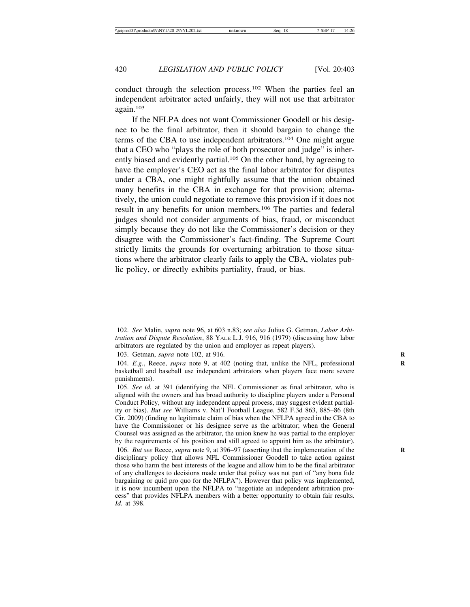conduct through the selection process.102 When the parties feel an independent arbitrator acted unfairly, they will not use that arbitrator again.103

If the NFLPA does not want Commissioner Goodell or his designee to be the final arbitrator, then it should bargain to change the terms of the CBA to use independent arbitrators.104 One might argue that a CEO who "plays the role of both prosecutor and judge" is inherently biased and evidently partial.<sup>105</sup> On the other hand, by agreeing to have the employer's CEO act as the final labor arbitrator for disputes under a CBA, one might rightfully assume that the union obtained many benefits in the CBA in exchange for that provision; alternatively, the union could negotiate to remove this provision if it does not result in any benefits for union members.106 The parties and federal judges should not consider arguments of bias, fraud, or misconduct simply because they do not like the Commissioner's decision or they disagree with the Commissioner's fact-finding. The Supreme Court strictly limits the grounds for overturning arbitration to those situations where the arbitrator clearly fails to apply the CBA, violates public policy, or directly exhibits partiality, fraud, or bias.

103. Getman, *supra* note 102, at 916*.* **R**

<sup>102.</sup> *See* Malin, *supra* note 96, at 603 n.83; *see also* Julius G. Getman, *Labor Arbitration and Dispute Resolution*, 88 YALE L.J. 916, 916 (1979) (discussing how labor arbitrators are regulated by the union and employer as repeat players).

<sup>104.</sup> *E.g.*, Reece, *supra* note 9, at 402 (noting that, unlike the NFL, professional **R** basketball and baseball use independent arbitrators when players face more severe punishments).

<sup>105.</sup> *See id.* at 391 (identifying the NFL Commissioner as final arbitrator, who is aligned with the owners and has broad authority to discipline players under a Personal Conduct Policy, without any independent appeal process, may suggest evident partiality or bias). *But see* Williams v. Nat'l Football League, 582 F.3d 863, 885–86 (8th Cir. 2009) (finding no legitimate claim of bias when the NFLPA agreed in the CBA to have the Commissioner or his designee serve as the arbitrator; when the General Counsel was assigned as the arbitrator, the union knew he was partial to the employer by the requirements of his position and still agreed to appoint him as the arbitrator).

<sup>106.</sup> *But see* Reece, *supra* note 9, at 396–97 (asserting that the implementation of the disciplinary policy that allows NFL Commissioner Goodell to take action against those who harm the best interests of the league and allow him to be the final arbitrator of any challenges to decisions made under that policy was not part of "any bona fide bargaining or quid pro quo for the NFLPA"). However that policy was implemented, it is now incumbent upon the NFLPA to "negotiate an independent arbitration process" that provides NFLPA members with a better opportunity to obtain fair results. *Id.* at 398.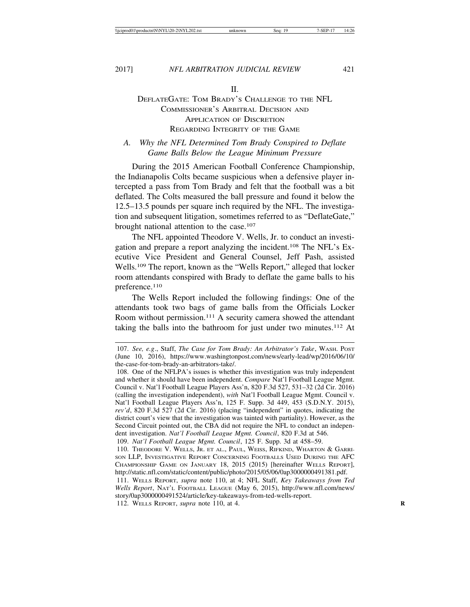II.

#### DEFLATEGATE: TOM BRADY'S CHALLENGE TO THE NFL COMMISSIONER'S ARBITRAL DECISION AND APPLICATION OF DISCRETION REGARDING INTEGRITY OF THE GAME

#### *A. Why the NFL Determined Tom Brady Conspired to Deflate Game Balls Below the League Minimum Pressure*

During the 2015 American Football Conference Championship, the Indianapolis Colts became suspicious when a defensive player intercepted a pass from Tom Brady and felt that the football was a bit deflated. The Colts measured the ball pressure and found it below the 12.5–13.5 pounds per square inch required by the NFL. The investigation and subsequent litigation, sometimes referred to as "DeflateGate," brought national attention to the case.107

The NFL appointed Theodore V. Wells, Jr. to conduct an investigation and prepare a report analyzing the incident.108 The NFL's Executive Vice President and General Counsel, Jeff Pash, assisted Wells.109 The report, known as the "Wells Report," alleged that locker room attendants conspired with Brady to deflate the game balls to his preference.110

The Wells Report included the following findings: One of the attendants took two bags of game balls from the Officials Locker Room without permission.111 A security camera showed the attendant taking the balls into the bathroom for just under two minutes.<sup>112</sup> At

109. *Nat'l Football League Mgmt. Council*, 125 F. Supp. 3d at 458–59.

112. WELLS REPORT, *supra* note 110, at 4. **R**

<sup>107.</sup> *See, e.g*., Staff, *The Case for Tom Brady: An Arbitrator's Take*, WASH. POST (June 10, 2016), https://www.washingtonpost.com/news/early-lead/wp/2016/06/10/ the-case-for-tom-brady-an-arbitrators-take/.

<sup>108.</sup> One of the NFLPA's issues is whether this investigation was truly independent and whether it should have been independent. *Compare* Nat'l Football League Mgmt. Council v. Nat'l Football League Players Ass'n, 820 F.3d 527, 531–32 (2d Cir. 2016) (calling the investigation independent), *with* Nat'l Football League Mgmt. Council v. Nat'l Football League Players Ass'n, 125 F. Supp. 3d 449, 453 (S.D.N.Y. 2015), *rev'd*, 820 F.3d 527 (2d Cir. 2016) (placing "independent" in quotes, indicating the district court's view that the investigation was tainted with partiality). However, as the Second Circuit pointed out, the CBA did not require the NFL to conduct an independent investigation. *Nat'l Football League Mgmt. Council*, 820 F.3d at 546.

<sup>110.</sup> THEODORE V. WELLS, JR. ET AL., PAUL, WEISS, RIFKIND, WHARTON & GARRI-SON LLP, INVESTIGATIVE REPORT CONCERNING FOOTBALLS USED DURING THE AFC CHAMPIONSHIP GAME ON JANUARY 18, 2015 (2015) [hereinafter WELLS REPORT], http://static.nfl.com/static/content/public/photo/2015/05/06/0ap3000000491381.pdf.

<sup>111.</sup> WELLS REPORT, *supra* note 110, at 4; NFL Staff, *Key Takeaways from Ted Wells Report*, NAT'L FOOTBALL LEAGUE (May 6, 2015), http://www.nfl.com/news/ story/0ap3000000491524/article/key-takeaways-from-ted-wells-report.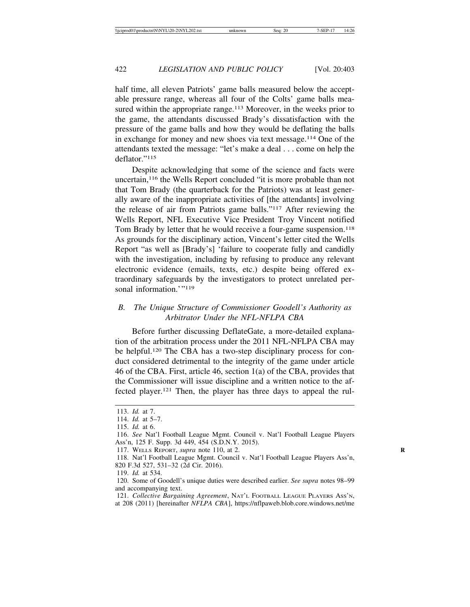half time, all eleven Patriots' game balls measured below the acceptable pressure range, whereas all four of the Colts' game balls measured within the appropriate range.<sup>113</sup> Moreover, in the weeks prior to the game, the attendants discussed Brady's dissatisfaction with the pressure of the game balls and how they would be deflating the balls in exchange for money and new shoes via text message.114 One of the attendants texted the message: "let's make a deal . . . come on help the deflator<sup>"115</sup>

Despite acknowledging that some of the science and facts were uncertain,116 the Wells Report concluded "it is more probable than not that Tom Brady (the quarterback for the Patriots) was at least generally aware of the inappropriate activities of [the attendants] involving the release of air from Patriots game balls."117 After reviewing the Wells Report, NFL Executive Vice President Troy Vincent notified Tom Brady by letter that he would receive a four-game suspension.<sup>118</sup> As grounds for the disciplinary action, Vincent's letter cited the Wells Report "as well as [Brady's] 'failure to cooperate fully and candidly with the investigation, including by refusing to produce any relevant electronic evidence (emails, texts, etc.) despite being offered extraordinary safeguards by the investigators to protect unrelated personal information.'"<sup>119</sup>

#### *B. The Unique Structure of Commissioner Goodell's Authority as Arbitrator Under the NFL-NFLPA CBA*

Before further discussing DeflateGate, a more-detailed explanation of the arbitration process under the 2011 NFL-NFLPA CBA may be helpful.120 The CBA has a two-step disciplinary process for conduct considered detrimental to the integrity of the game under article 46 of the CBA. First, article 46, section 1(a) of the CBA, provides that the Commissioner will issue discipline and a written notice to the affected player.121 Then, the player has three days to appeal the rul-

<sup>113.</sup> *Id.* at 7.

<sup>114.</sup> *Id.* at 5–7.

<sup>115.</sup> *Id.* at 6.

<sup>116.</sup> *See* Nat'l Football League Mgmt. Council v. Nat'l Football League Players Ass'n, 125 F. Supp. 3d 449, 454 (S.D.N.Y. 2015).

<sup>117.</sup> WELLS REPORT, *supra* note 110, at 2. **R**

<sup>118.</sup> Nat'l Football League Mgmt. Council v. Nat'l Football League Players Ass'n, 820 F.3d 527, 531–32 (2d Cir. 2016).

<sup>119.</sup> *Id.* at 534.

<sup>120.</sup> Some of Goodell's unique duties were described earlier. *See supra* notes 98–99 and accompanying text.

<sup>121.</sup> *Collective Bargaining Agreement*, NAT'L FOOTBALL LEAGUE PLAYERS ASS'N, at 208 (2011) [hereinafter *NFLPA CBA*], https://nflpaweb.blob.core.windows.net/me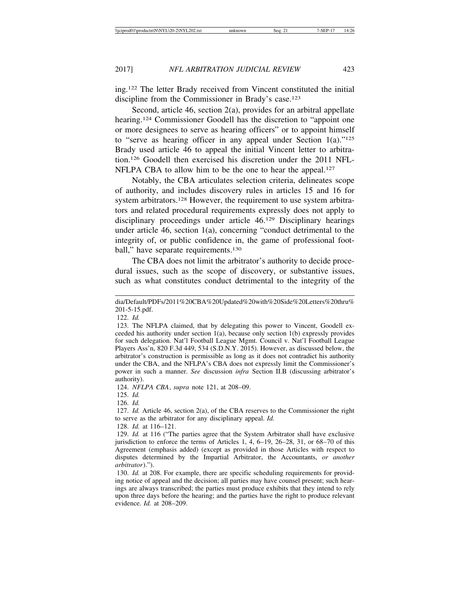ing.122 The letter Brady received from Vincent constituted the initial discipline from the Commissioner in Brady's case.<sup>123</sup>

Second, article 46, section 2(a), provides for an arbitral appellate hearing.<sup>124</sup> Commissioner Goodell has the discretion to "appoint one" or more designees to serve as hearing officers" or to appoint himself to "serve as hearing officer in any appeal under Section  $1(a)$ ."<sup>125</sup> Brady used article 46 to appeal the initial Vincent letter to arbitration.126 Goodell then exercised his discretion under the 2011 NFL-NFLPA CBA to allow him to be the one to hear the appeal.<sup>127</sup>

Notably, the CBA articulates selection criteria, delineates scope of authority, and includes discovery rules in articles 15 and 16 for system arbitrators.<sup>128</sup> However, the requirement to use system arbitrators and related procedural requirements expressly does not apply to disciplinary proceedings under article 46.129 Disciplinary hearings under article 46, section 1(a), concerning "conduct detrimental to the integrity of, or public confidence in, the game of professional football," have separate requirements.<sup>130</sup>

The CBA does not limit the arbitrator's authority to decide procedural issues, such as the scope of discovery, or substantive issues, such as what constitutes conduct detrimental to the integrity of the

122. *Id.*

123. The NFLPA claimed, that by delegating this power to Vincent, Goodell exceeded his authority under section 1(a), because only section 1(b) expressly provides for such delegation. Nat'l Football League Mgmt. Council v. Nat'l Football League Players Ass'n, 820 F.3d 449, 534 (S.D.N.Y. 2015). However, as discussed below, the arbitrator's construction is permissible as long as it does not contradict his authority under the CBA, and the NFLPA's CBA does not expressly limit the Commissioner's power in such a manner. *See* discussion *infra* Section II.B (discussing arbitrator's authority).

124. *NFLPA CBA*, *supra* note 121, at 208–09.

125. *Id.*

126. *Id.*

127. *Id.* Article 46, section 2(a), of the CBA reserves to the Commissioner the right to serve as the arbitrator for any disciplinary appeal. *Id.*

128. *Id.* at 116–121.

129. *Id.* at 116 ("The parties agree that the System Arbitrator shall have exclusive jurisdiction to enforce the terms of Articles 1, 4, 6–19, 26–28, 31, or 68–70 of this Agreement (emphasis added) (except as provided in those Articles with respect to disputes determined by the Impartial Arbitrator, the Accountants, *or another arbitrator*).").

130. *Id.* at 208. For example, there are specific scheduling requirements for providing notice of appeal and the decision; all parties may have counsel present; such hearings are always transcribed; the parties must produce exhibits that they intend to rely upon three days before the hearing; and the parties have the right to produce relevant evidence. *Id.* at 208–209.

dia/Default/PDFs/2011%20CBA%20Updated%20with%20Side%20Letters%20thru% 201-5-15.pdf.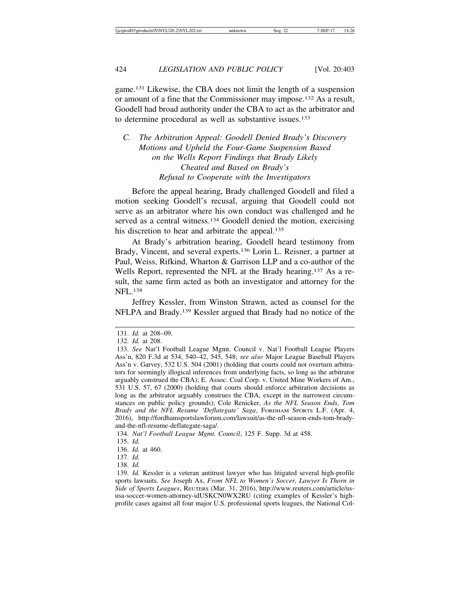game.131 Likewise, the CBA does not limit the length of a suspension or amount of a fine that the Commissioner may impose.132 As a result, Goodell had broad authority under the CBA to act as the arbitrator and to determine procedural as well as substantive issues.133

#### *C. The Arbitration Appeal: Goodell Denied Brady's Discovery Motions and Upheld the Four-Game Suspension Based on the Wells Report Findings that Brady Likely Cheated and Based on Brady's Refusal to Cooperate with the Investigators*

Before the appeal hearing, Brady challenged Goodell and filed a motion seeking Goodell's recusal, arguing that Goodell could not serve as an arbitrator where his own conduct was challenged and he served as a central witness.<sup>134</sup> Goodell denied the motion, exercising his discretion to hear and arbitrate the appeal.<sup>135</sup>

At Brady's arbitration hearing, Goodell heard testimony from Brady, Vincent, and several experts.136 Lorin L. Reisner, a partner at Paul, Weiss, Rifkind, Wharton & Garrison LLP and a co-author of the Wells Report, represented the NFL at the Brady hearing.137 As a result, the same firm acted as both an investigator and attorney for the NFL.138

Jeffrey Kessler, from Winston Strawn, acted as counsel for the NFLPA and Brady.139 Kessler argued that Brady had no notice of the

134. *Nat'l Football League Mgmt. Council*, 125 F. Supp. 3d at 458.

<sup>131.</sup> *Id.* at 208–09.

<sup>132.</sup> *Id.* at 208.

<sup>133.</sup> *See* Nat'l Football League Mgmt. Council v. Nat'l Football League Players Ass'n, 820 F.3d at 534, 540–42, 545, 548; *see also* Major League Baseball Players Ass'n v. Garvey, 532 U.S. 504 (2001) (holding that courts could not overturn arbitrators for seemingly illogical inferences from underlying facts, so long as the arbitrator arguably construed the CBA); E. Assoc. Coal Corp. v. United Mine Workers of Am., 531 U.S. 57, 67 (2000) (holding that courts should enforce arbitration decisions as long as the arbitrator arguably construes the CBA, except in the narrowest circumstances on public policy grounds); Cole Renicker, *As the NFL Season Ends, Tom Brady and the NFL Resume 'Deflategate' Saga*, FORDHAM SPORTS L.F. (Apr. 4, 2016), http://fordhamsportslawforum.com/lawsuit/as-the-nfl-season-ends-tom-bradyand-the-nfl-resume-deflategate-saga/.

<sup>135.</sup> *Id.*

<sup>136.</sup> *Id.* at 460.

<sup>137.</sup> *Id.*

<sup>138.</sup> *Id.*

<sup>139.</sup> *Id.* Kessler is a veteran antitrust lawyer who has litigated several high-profile sports lawsuits. *See* Joseph Ax, *From NFL to Women's Soccer, Lawyer Is Thorn in Side of Sports Leagues*, REUTERS (Mar. 31, 2016), http://www.reuters.com/article/ususa-soccer-women-attorney-idUSKCN0WX2RU (citing examples of Kessler's highprofile cases against all four major U.S. professional sports leagues, the National Col-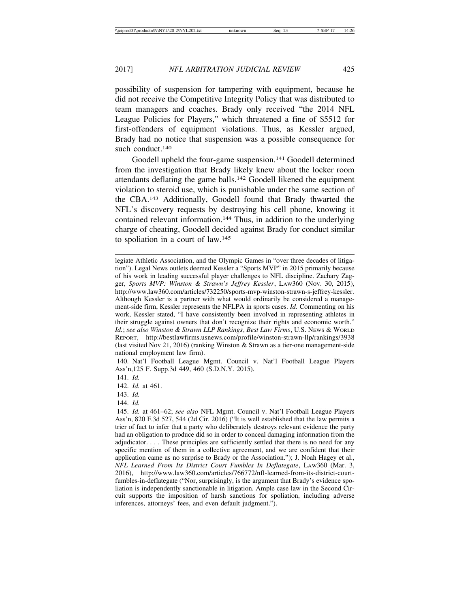possibility of suspension for tampering with equipment, because he did not receive the Competitive Integrity Policy that was distributed to team managers and coaches. Brady only received "the 2014 NFL League Policies for Players," which threatened a fine of \$5512 for first-offenders of equipment violations. Thus, as Kessler argued, Brady had no notice that suspension was a possible consequence for such conduct.<sup>140</sup>

Goodell upheld the four-game suspension.<sup>141</sup> Goodell determined from the investigation that Brady likely knew about the locker room attendants deflating the game balls.142 Goodell likened the equipment violation to steroid use, which is punishable under the same section of the CBA.143 Additionally, Goodell found that Brady thwarted the NFL's discovery requests by destroying his cell phone, knowing it contained relevant information.<sup>144</sup> Thus, in addition to the underlying charge of cheating, Goodell decided against Brady for conduct similar to spoliation in a court of law.145

140. Nat'l Football League Mgmt. Council v. Nat'l Football League Players Ass'n,125 F. Supp.3d 449, 460 (S.D.N.Y. 2015).

141. *Id.*

142. *Id.* at 461.

legiate Athletic Association, and the Olympic Games in "over three decades of litigation"). Legal News outlets deemed Kessler a "Sports MVP" in 2015 primarily because of his work in leading successful player challenges to NFL discipline. Zachary Zagger, *Sports MVP: Winston & Strawn's Jeffrey Kessler*, LAW360 (Nov. 30, 2015), http://www.law360.com/articles/732250/sports-mvp-winston-strawn-s-jeffrey-kessler. Although Kessler is a partner with what would ordinarily be considered a management-side firm, Kessler represents the NFLPA in sports cases. *Id.* Commenting on his work, Kessler stated, "I have consistently been involved in representing athletes in their struggle against owners that don't recognize their rights and economic worth." *Id.*; *see also Winston & Strawn LLP Rankings*, *Best Law Firms*, U.S. NEWS & WORLD REPORT, http://bestlawfirms.usnews.com/profile/winston-strawn-llp/rankings/3938 (last visited Nov 21, 2016) (ranking Winston & Strawn as a tier-one management-side national employment law firm).

<sup>143.</sup> *Id.*

<sup>144.</sup> *Id.*

<sup>145.</sup> *Id.* at 461–62; *see also* NFL Mgmt. Council v. Nat'l Football League Players Ass'n, 820 F.3d 527, 544 (2d Cir. 2016) ("It is well established that the law permits a trier of fact to infer that a party who deliberately destroys relevant evidence the party had an obligation to produce did so in order to conceal damaging information from the adjudicator. . . . These principles are sufficiently settled that there is no need for any specific mention of them in a collective agreement, and we are confident that their application came as no surprise to Brady or the Association."); J. Noah Hagey et al., *NFL Learned From Its District Court Fumbles In Deflategate*, LAW360 (Mar. 3, 2016), http://www.law360.com/articles/766772/nfl-learned-from-its-district-courtfumbles-in-deflategate ("Nor, surprisingly, is the argument that Brady's evidence spoliation is independently sanctionable in litigation. Ample case law in the Second Circuit supports the imposition of harsh sanctions for spoliation, including adverse inferences, attorneys' fees, and even default judgment.").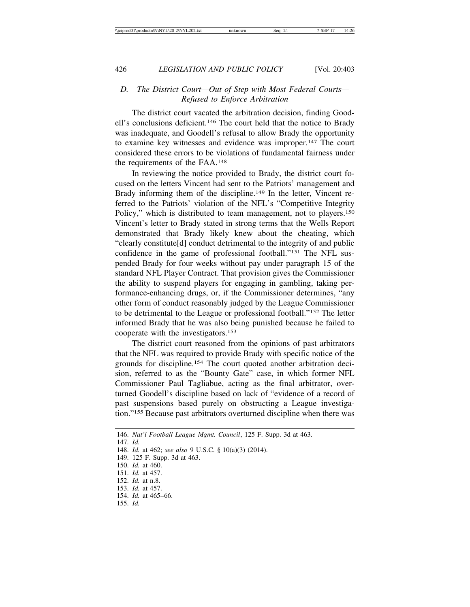#### *D. The District Court—Out of Step with Most Federal Courts— Refused to Enforce Arbitration*

The district court vacated the arbitration decision, finding Goodell's conclusions deficient.146 The court held that the notice to Brady was inadequate, and Goodell's refusal to allow Brady the opportunity to examine key witnesses and evidence was improper.147 The court considered these errors to be violations of fundamental fairness under the requirements of the FAA.148

In reviewing the notice provided to Brady, the district court focused on the letters Vincent had sent to the Patriots' management and Brady informing them of the discipline.<sup>149</sup> In the letter, Vincent referred to the Patriots' violation of the NFL's "Competitive Integrity Policy," which is distributed to team management, not to players.<sup>150</sup> Vincent's letter to Brady stated in strong terms that the Wells Report demonstrated that Brady likely knew about the cheating, which "clearly constitute[d] conduct detrimental to the integrity of and public confidence in the game of professional football."151 The NFL suspended Brady for four weeks without pay under paragraph 15 of the standard NFL Player Contract. That provision gives the Commissioner the ability to suspend players for engaging in gambling, taking performance-enhancing drugs, or, if the Commissioner determines, "any other form of conduct reasonably judged by the League Commissioner to be detrimental to the League or professional football."152 The letter informed Brady that he was also being punished because he failed to cooperate with the investigators.153

The district court reasoned from the opinions of past arbitrators that the NFL was required to provide Brady with specific notice of the grounds for discipline.154 The court quoted another arbitration decision, referred to as the "Bounty Gate" case, in which former NFL Commissioner Paul Tagliabue, acting as the final arbitrator, overturned Goodell's discipline based on lack of "evidence of a record of past suspensions based purely on obstructing a League investigation."155 Because past arbitrators overturned discipline when there was

146. *Nat'l Football League Mgmt. Council*, 125 F. Supp. 3d at 463. 147. *Id.* 148. *Id.* at 462; *see also* 9 U.S.C. § 10(a)(3) (2014). 149. 125 F. Supp. 3d at 463. 150. *Id.* at 460. 151. *Id.* at 457. 152. *Id.* at n.8. 153. *Id.* at 457. 154. *Id.* at 465–66. 155. *Id.*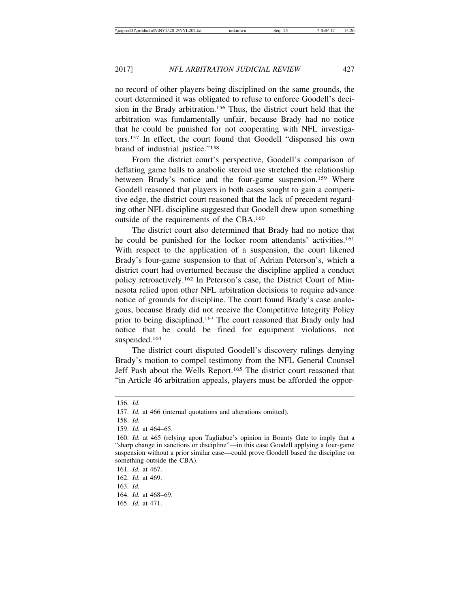no record of other players being disciplined on the same grounds, the court determined it was obligated to refuse to enforce Goodell's decision in the Brady arbitration.156 Thus, the district court held that the arbitration was fundamentally unfair, because Brady had no notice that he could be punished for not cooperating with NFL investigators.157 In effect, the court found that Goodell "dispensed his own brand of industrial justice."158

From the district court's perspective, Goodell's comparison of deflating game balls to anabolic steroid use stretched the relationship between Brady's notice and the four-game suspension.<sup>159</sup> Where Goodell reasoned that players in both cases sought to gain a competitive edge, the district court reasoned that the lack of precedent regarding other NFL discipline suggested that Goodell drew upon something outside of the requirements of the CBA.160

The district court also determined that Brady had no notice that he could be punished for the locker room attendants' activities.161 With respect to the application of a suspension, the court likened Brady's four-game suspension to that of Adrian Peterson's, which a district court had overturned because the discipline applied a conduct policy retroactively.162 In Peterson's case, the District Court of Minnesota relied upon other NFL arbitration decisions to require advance notice of grounds for discipline. The court found Brady's case analogous, because Brady did not receive the Competitive Integrity Policy prior to being disciplined.163 The court reasoned that Brady only had notice that he could be fined for equipment violations, not suspended.164

The district court disputed Goodell's discovery rulings denying Brady's motion to compel testimony from the NFL General Counsel Jeff Pash about the Wells Report.165 The district court reasoned that "in Article 46 arbitration appeals, players must be afforded the oppor-

165. *Id.* at 471.

<sup>156.</sup> *Id.*

<sup>157.</sup> *Id.* at 466 (internal quotations and alterations omitted).

<sup>158.</sup> *Id.*

<sup>159.</sup> *Id.* at 464–65.

<sup>160.</sup> *Id.* at 465 (relying upon Tagliabue's opinion in Bounty Gate to imply that a "sharp change in sanctions or discipline"—in this case Goodell applying a four-game suspension without a prior similar case—could prove Goodell based the discipline on something outside the CBA).

<sup>161.</sup> *Id.* at 467.

<sup>162.</sup> *Id.* at 469.

<sup>163.</sup> *Id.*

<sup>164.</sup> *Id.* at 468–69.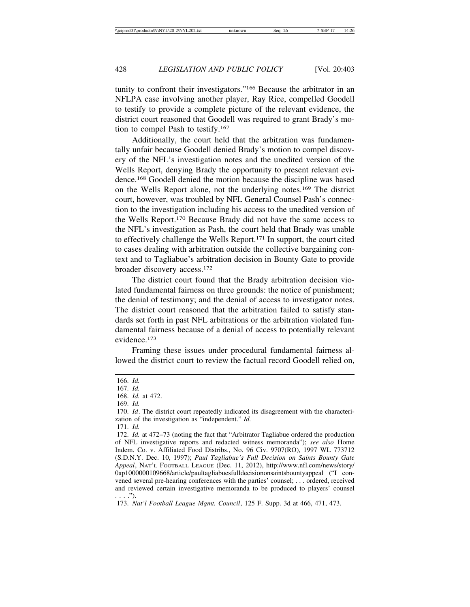tunity to confront their investigators."166 Because the arbitrator in an NFLPA case involving another player, Ray Rice, compelled Goodell to testify to provide a complete picture of the relevant evidence, the district court reasoned that Goodell was required to grant Brady's motion to compel Pash to testify.167

Additionally, the court held that the arbitration was fundamentally unfair because Goodell denied Brady's motion to compel discovery of the NFL's investigation notes and the unedited version of the Wells Report, denying Brady the opportunity to present relevant evidence.168 Goodell denied the motion because the discipline was based on the Wells Report alone, not the underlying notes.169 The district court, however, was troubled by NFL General Counsel Pash's connection to the investigation including his access to the unedited version of the Wells Report.170 Because Brady did not have the same access to the NFL's investigation as Pash, the court held that Brady was unable to effectively challenge the Wells Report.171 In support, the court cited to cases dealing with arbitration outside the collective bargaining context and to Tagliabue's arbitration decision in Bounty Gate to provide broader discovery access.172

The district court found that the Brady arbitration decision violated fundamental fairness on three grounds: the notice of punishment; the denial of testimony; and the denial of access to investigator notes. The district court reasoned that the arbitration failed to satisfy standards set forth in past NFL arbitrations or the arbitration violated fundamental fairness because of a denial of access to potentially relevant evidence.173

Framing these issues under procedural fundamental fairness allowed the district court to review the factual record Goodell relied on,

171. *Id.*

<sup>166.</sup> *Id.*

<sup>167.</sup> *Id.*

<sup>168.</sup> *Id.* at 472.

<sup>169.</sup> *Id.*

<sup>170.</sup> *Id*. The district court repeatedly indicated its disagreement with the characterization of the investigation as "independent." *Id.*

<sup>172.</sup> *Id.* at 472–73 (noting the fact that "Arbitrator Tagliabue ordered the production of NFL investigative reports and redacted witness memoranda"); *see also* Home Indem. Co. v. Affiliated Food Distribs., No. 96 Civ. 9707(RO), 1997 WL 773712 (S.D.N.Y. Dec. 10, 1997); *Paul Tagliabue's Full Decision on Saints Bounty Gate Appeal*, NAT'L FOOTBALL LEAGUE (Dec. 11, 2012), http://www.nfl.com/news/story/ 0ap1000000109668/article/paultagliabuesfulldecisiononsaintsbountyappeal ("I convened several pre-hearing conferences with the parties' counsel; . . . ordered, received and reviewed certain investigative memoranda to be produced to players' counsel . . . .").

<sup>173.</sup> *Nat'l Football League Mgmt. Council*, 125 F. Supp. 3d at 466, 471, 473.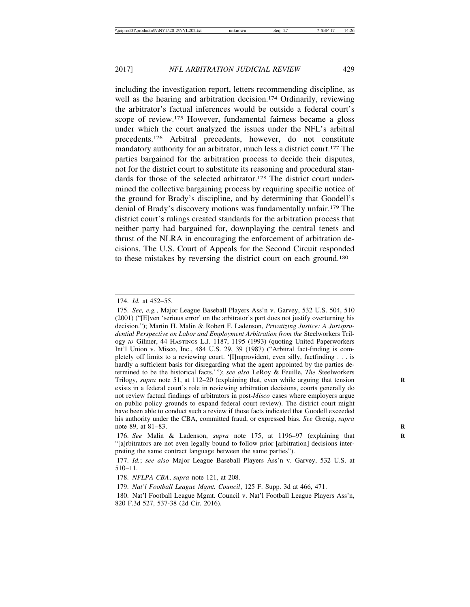including the investigation report, letters recommending discipline, as well as the hearing and arbitration decision.<sup>174</sup> Ordinarily, reviewing the arbitrator's factual inferences would be outside a federal court's scope of review.175 However, fundamental fairness became a gloss under which the court analyzed the issues under the NFL's arbitral precedents.176 Arbitral precedents, however, do not constitute mandatory authority for an arbitrator, much less a district court.177 The parties bargained for the arbitration process to decide their disputes, not for the district court to substitute its reasoning and procedural standards for those of the selected arbitrator.<sup>178</sup> The district court undermined the collective bargaining process by requiring specific notice of the ground for Brady's discipline, and by determining that Goodell's denial of Brady's discovery motions was fundamentally unfair.179 The district court's rulings created standards for the arbitration process that neither party had bargained for, downplaying the central tenets and thrust of the NLRA in encouraging the enforcement of arbitration decisions. The U.S. Court of Appeals for the Second Circuit responded to these mistakes by reversing the district court on each ground.180

176. *See* Malin & Ladenson, *supra* note 175, at 1196–97 (explaining that **R** "[a]rbitrators are not even legally bound to follow prior [arbitration] decisions interpreting the same contract language between the same parties").

<sup>174.</sup> *Id.* at 452–55.

<sup>175.</sup> *See, e.g.*, Major League Baseball Players Ass'n v. Garvey, 532 U.S. 504, 510 (2001) ("[E]ven 'serious error' on the arbitrator's part does not justify overturning his decision."); Martin H. Malin & Robert F. Ladenson, *Privatizing Justice: A Jurisprudential Perspective on Labor and Employment Arbitration from the* Steelworkers Trilogy *to* Gilmer, 44 HASTINGS L.J. 1187, 1195 (1993) (quoting United Paperworkers Int'l Union v. Misco, Inc., 484 U.S. 29, 39 (1987) ("Arbitral fact-finding is completely off limits to a reviewing court. '[I]mprovident, even silly, factfinding . . . is hardly a sufficient basis for disregarding what the agent appointed by the parties determined to be the historical facts.'"); *see also* LeRoy & Feuille, *The* Steelworkers Trilogy, *supra* note 51, at 112–20 (explaining that, even while arguing that tension **R** exists in a federal court's role in reviewing arbitration decisions, courts generally do not review factual findings of arbitrators in post-*Misco* cases where employers argue on public policy grounds to expand federal court review). The district court might have been able to conduct such a review if those facts indicated that Goodell exceeded his authority under the CBA, committed fraud, or expressed bias. *See* Grenig, *supra* note 89, at 81–83. **R**

<sup>177.</sup> *Id.*; *see also* Major League Baseball Players Ass'n v. Garvey, 532 U.S. at 510–11.

<sup>178.</sup> *NFLPA CBA*, *supra* note 121, at 208.

<sup>179.</sup> *Nat'l Football League Mgmt. Council*, 125 F. Supp. 3d at 466, 471.

<sup>180.</sup> Nat'l Football League Mgmt. Council v. Nat'l Football League Players Ass'n, 820 F.3d 527, 537-38 (2d Cir. 2016).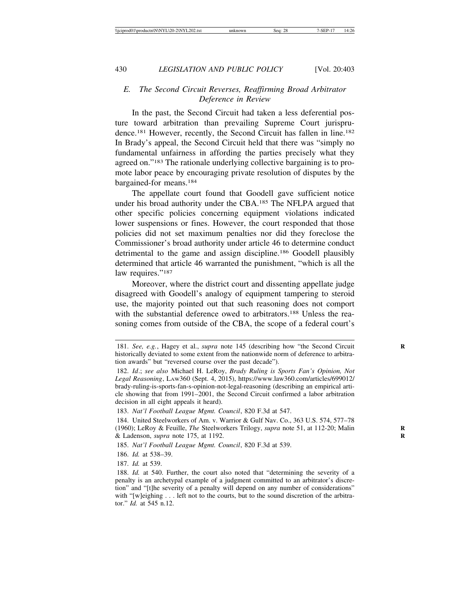#### *E. The Second Circuit Reverses, Reaffirming Broad Arbitrator Deference in Review*

In the past, the Second Circuit had taken a less deferential posture toward arbitration than prevailing Supreme Court jurisprudence.181 However, recently, the Second Circuit has fallen in line.182 In Brady's appeal, the Second Circuit held that there was "simply no fundamental unfairness in affording the parties precisely what they agreed on."183 The rationale underlying collective bargaining is to promote labor peace by encouraging private resolution of disputes by the bargained-for means.184

The appellate court found that Goodell gave sufficient notice under his broad authority under the CBA.185 The NFLPA argued that other specific policies concerning equipment violations indicated lower suspensions or fines. However, the court responded that those policies did not set maximum penalties nor did they foreclose the Commissioner's broad authority under article 46 to determine conduct detrimental to the game and assign discipline.186 Goodell plausibly determined that article 46 warranted the punishment, "which is all the law requires."<sup>187</sup>

Moreover, where the district court and dissenting appellate judge disagreed with Goodell's analogy of equipment tampering to steroid use, the majority pointed out that such reasoning does not comport with the substantial deference owed to arbitrators.188 Unless the reasoning comes from outside of the CBA, the scope of a federal court's

<sup>181.</sup> *See, e.g.*, Hagey et al., *supra* note 145 (describing how "the Second Circuit historically deviated to some extent from the nationwide norm of deference to arbitration awards" but "reversed course over the past decade").

<sup>182.</sup> *Id*.; *see also* Michael H. LeRoy, *Brady Ruling is Sports Fan's Opinion, Not Legal Reasoning*, LAW360 (Sept. 4, 2015), https://www.law360.com/articles/699012/ brady-ruling-is-sports-fan-s-opinion-not-legal-reasoning (describing an empirical article showing that from 1991–2001, the Second Circuit confirmed a labor arbitration decision in all eight appeals it heard).

<sup>183.</sup> *Nat'l Football League Mgmt. Council*, 820 F.3d at 547.

<sup>184.</sup> United Steelworkers of Am. v. Warrior & Gulf Nav. Co., 363 U.S. 574, 577–78 (1960); LeRoy & Feuille, *The* Steelworkers Trilogy, *supra* note 51, at 112-20; Malin **R** & Ladenson, *supra* note 175, at 1192. **R**

<sup>185.</sup> *Nat'l Football League Mgmt. Council*, 820 F.3d at 539.

<sup>186.</sup> *Id.* at 538–39.

<sup>187.</sup> *Id.* at 539.

<sup>188.</sup> *Id.* at 540. Further, the court also noted that "determining the severity of a penalty is an archetypal example of a judgment committed to an arbitrator's discretion" and "[t]he severity of a penalty will depend on any number of considerations" with "[w]eighing . . . left not to the courts, but to the sound discretion of the arbitrator." *Id.* at 545 n.12.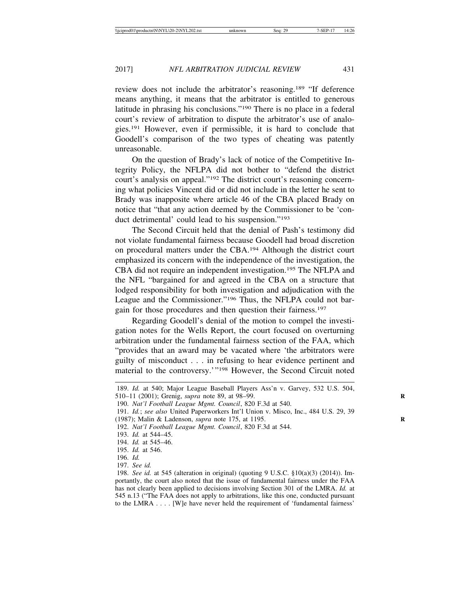review does not include the arbitrator's reasoning.189 "If deference means anything, it means that the arbitrator is entitled to generous latitude in phrasing his conclusions."190 There is no place in a federal court's review of arbitration to dispute the arbitrator's use of analogies.191 However, even if permissible, it is hard to conclude that Goodell's comparison of the two types of cheating was patently unreasonable.

On the question of Brady's lack of notice of the Competitive Integrity Policy, the NFLPA did not bother to "defend the district court's analysis on appeal."192 The district court's reasoning concerning what policies Vincent did or did not include in the letter he sent to Brady was inapposite where article 46 of the CBA placed Brady on notice that "that any action deemed by the Commissioner to be 'conduct detrimental' could lead to his suspension."193

The Second Circuit held that the denial of Pash's testimony did not violate fundamental fairness because Goodell had broad discretion on procedural matters under the CBA.194 Although the district court emphasized its concern with the independence of the investigation, the CBA did not require an independent investigation.195 The NFLPA and the NFL "bargained for and agreed in the CBA on a structure that lodged responsibility for both investigation and adjudication with the League and the Commissioner."196 Thus, the NFLPA could not bargain for those procedures and then question their fairness.197

Regarding Goodell's denial of the motion to compel the investigation notes for the Wells Report, the court focused on overturning arbitration under the fundamental fairness section of the FAA, which "provides that an award may be vacated where 'the arbitrators were guilty of misconduct . . . in refusing to hear evidence pertinent and material to the controversy.'"198 However, the Second Circuit noted

<sup>189.</sup> *Id.* at 540; Major League Baseball Players Ass'n v. Garvey, 532 U.S. 504, 510–11 (2001); Grenig, *supra* note 89, at 98–99. **R**

<sup>190.</sup> *Nat'l Football League Mgmt. Council*, 820 F.3d at 540.

<sup>191.</sup> *Id.*; *see also* United Paperworkers Int'l Union v. Misco, Inc., 484 U.S. 29, 39 (1987); Malin & Ladenson, *supra* note 175, at 1195. **R**

<sup>192.</sup> *Nat'l Football League Mgmt. Council*, 820 F.3d at 544.

<sup>193.</sup> *Id.* at 544–45.

<sup>194.</sup> *Id.* at 545–46.

<sup>195.</sup> *Id.* at 546.

<sup>196.</sup> *Id.*

<sup>197.</sup> *See id.*

<sup>198.</sup> *See id.* at 545 (alteration in original) (quoting 9 U.S.C. §10(a)(3) (2014)). Importantly, the court also noted that the issue of fundamental fairness under the FAA has not clearly been applied to decisions involving Section 301 of the LMRA. *Id.* at 545 n.13 ("The FAA does not apply to arbitrations, like this one, conducted pursuant to the LMRA . . . . [W]e have never held the requirement of 'fundamental fairness'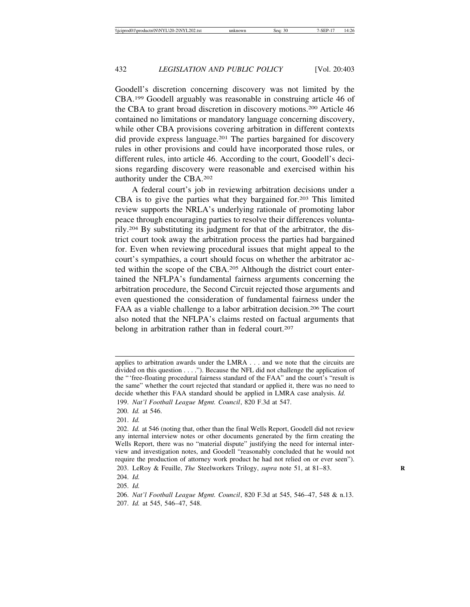Goodell's discretion concerning discovery was not limited by the CBA.199 Goodell arguably was reasonable in construing article 46 of the CBA to grant broad discretion in discovery motions.200 Article 46 contained no limitations or mandatory language concerning discovery, while other CBA provisions covering arbitration in different contexts did provide express language.201 The parties bargained for discovery rules in other provisions and could have incorporated those rules, or different rules, into article 46. According to the court, Goodell's decisions regarding discovery were reasonable and exercised within his authority under the CBA.202

A federal court's job in reviewing arbitration decisions under a CBA is to give the parties what they bargained for.203 This limited review supports the NRLA's underlying rationale of promoting labor peace through encouraging parties to resolve their differences voluntarily.204 By substituting its judgment for that of the arbitrator, the district court took away the arbitration process the parties had bargained for. Even when reviewing procedural issues that might appeal to the court's sympathies, a court should focus on whether the arbitrator acted within the scope of the CBA.205 Although the district court entertained the NFLPA's fundamental fairness arguments concerning the arbitration procedure, the Second Circuit rejected those arguments and even questioned the consideration of fundamental fairness under the FAA as a viable challenge to a labor arbitration decision.<sup>206</sup> The court also noted that the NFLPA's claims rested on factual arguments that belong in arbitration rather than in federal court.<sup>207</sup>

applies to arbitration awards under the LMRA . . . and we note that the circuits are divided on this question . . . ."). Because the NFL did not challenge the application of the "'free-floating procedural fairness standard of the FAA" and the court's "result is the same" whether the court rejected that standard or applied it, there was no need to decide whether this FAA standard should be applied in LMRA case analysis. *Id.* 199. *Nat'l Football League Mgmt. Council*, 820 F.3d at 547.

<sup>200.</sup> *Id.* at 546.

<sup>201.</sup> *Id.*

<sup>202.</sup> *Id.* at 546 (noting that, other than the final Wells Report, Goodell did not review any internal interview notes or other documents generated by the firm creating the Wells Report, there was no "material dispute" justifying the need for internal interview and investigation notes, and Goodell "reasonably concluded that he would not require the production of attorney work product he had not relied on or ever seen").

<sup>203.</sup> LeRoy & Feuille, *The* Steelworkers Trilogy, *supra* note 51, at 81–83. **R**

<sup>204.</sup> *Id.*

<sup>205.</sup> *Id.*

<sup>206.</sup> *Nat'l Football League Mgmt. Council*, 820 F.3d at 545, 546–47, 548 & n.13. 207. *Id.* at 545, 546–47, 548.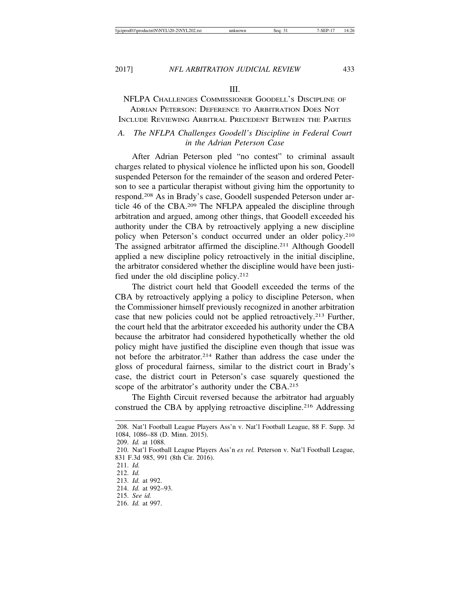#### III.

### NFLPA CHALLENGES COMMISSIONER GOODELL'S DISCIPLINE OF ADRIAN PETERSON: DEFERENCE TO ARBITRATION DOES NOT

## INCLUDE REVIEWING ARBITRAL PRECEDENT BETWEEN THE PARTIES

#### *A. The NFLPA Challenges Goodell's Discipline in Federal Court in the Adrian Peterson Case*

After Adrian Peterson pled "no contest" to criminal assault charges related to physical violence he inflicted upon his son, Goodell suspended Peterson for the remainder of the season and ordered Peterson to see a particular therapist without giving him the opportunity to respond.208 As in Brady's case, Goodell suspended Peterson under article 46 of the CBA.209 The NFLPA appealed the discipline through arbitration and argued, among other things, that Goodell exceeded his authority under the CBA by retroactively applying a new discipline policy when Peterson's conduct occurred under an older policy.<sup>210</sup> The assigned arbitrator affirmed the discipline.211 Although Goodell applied a new discipline policy retroactively in the initial discipline, the arbitrator considered whether the discipline would have been justified under the old discipline policy.212

The district court held that Goodell exceeded the terms of the CBA by retroactively applying a policy to discipline Peterson, when the Commissioner himself previously recognized in another arbitration case that new policies could not be applied retroactively.213 Further, the court held that the arbitrator exceeded his authority under the CBA because the arbitrator had considered hypothetically whether the old policy might have justified the discipline even though that issue was not before the arbitrator.214 Rather than address the case under the gloss of procedural fairness, similar to the district court in Brady's case, the district court in Peterson's case squarely questioned the scope of the arbitrator's authority under the CBA.<sup>215</sup>

The Eighth Circuit reversed because the arbitrator had arguably construed the CBA by applying retroactive discipline.216 Addressing

209. *Id.* at 1088.

210. Nat'l Football League Players Ass'n *ex rel.* Peterson v. Nat'l Football League, 831 F.3d 985, 991 (8th Cir. 2016).

<sup>208.</sup> Nat'l Football League Players Ass'n v. Nat'l Football League, 88 F. Supp. 3d 1084, 1086–88 (D. Minn. 2015).

<sup>211.</sup> *Id.*

<sup>212.</sup> *Id.*

<sup>213.</sup> *Id.* at 992.

<sup>214.</sup> *Id.* at 992–93.

<sup>215.</sup> *See id.*

<sup>216.</sup> *Id.* at 997.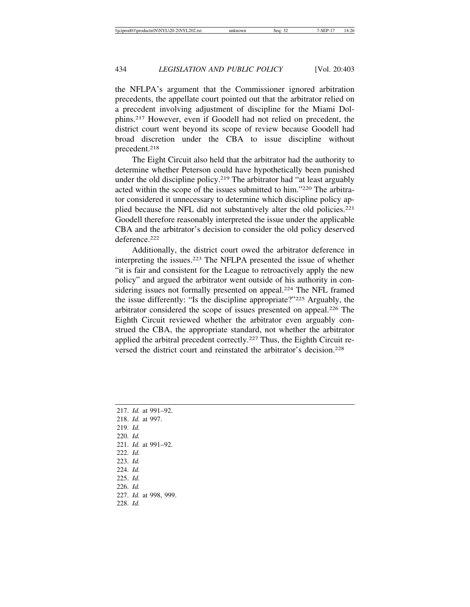the NFLPA's argument that the Commissioner ignored arbitration precedents, the appellate court pointed out that the arbitrator relied on a precedent involving adjustment of discipline for the Miami Dolphins.217 However, even if Goodell had not relied on precedent, the district court went beyond its scope of review because Goodell had broad discretion under the CBA to issue discipline without precedent.218

The Eight Circuit also held that the arbitrator had the authority to determine whether Peterson could have hypothetically been punished under the old discipline policy.<sup>219</sup> The arbitrator had "at least arguably acted within the scope of the issues submitted to him."220 The arbitrator considered it unnecessary to determine which discipline policy applied because the NFL did not substantively alter the old policies.<sup>221</sup> Goodell therefore reasonably interpreted the issue under the applicable CBA and the arbitrator's decision to consider the old policy deserved deference<sup>222</sup>

Additionally, the district court owed the arbitrator deference in interpreting the issues.223 The NFLPA presented the issue of whether "it is fair and consistent for the League to retroactively apply the new policy" and argued the arbitrator went outside of his authority in considering issues not formally presented on appeal.<sup>224</sup> The NFL framed the issue differently: "Is the discipline appropriate?"225 Arguably, the arbitrator considered the scope of issues presented on appeal.226 The Eighth Circuit reviewed whether the arbitrator even arguably construed the CBA, the appropriate standard, not whether the arbitrator applied the arbitral precedent correctly.227 Thus, the Eighth Circuit reversed the district court and reinstated the arbitrator's decision.228

|                         |  | 217. <i>Id.</i> at 991–92. |
|-------------------------|--|----------------------------|
| 218. <i>Id.</i> at 997. |  |                            |
| 219. Id.                |  |                            |
| $220.$ <i>Id.</i>       |  |                            |
|                         |  | 221. <i>Id.</i> at 991–92. |
| $222.$ <i>Id.</i>       |  |                            |
| $223.$ <i>Id.</i>       |  |                            |
| $224.$ <i>Id.</i>       |  |                            |
| $225.$ <i>Id.</i>       |  |                            |
| $226.$ <i>Id.</i>       |  |                            |
|                         |  | 227. Id. at 998, 999.      |
| $228.$ <i>Id.</i>       |  |                            |
|                         |  |                            |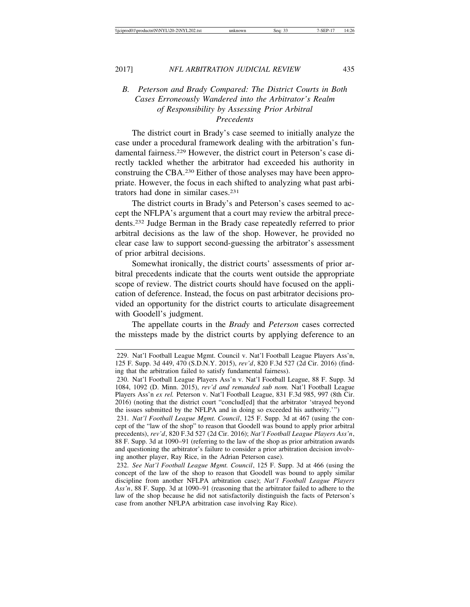#### *B. Peterson and Brady Compared: The District Courts in Both Cases Erroneously Wandered into the Arbitrator's Realm of Responsibility by Assessing Prior Arbitral Precedents*

The district court in Brady's case seemed to initially analyze the case under a procedural framework dealing with the arbitration's fundamental fairness.229 However, the district court in Peterson's case directly tackled whether the arbitrator had exceeded his authority in construing the CBA.230 Either of those analyses may have been appropriate. However, the focus in each shifted to analyzing what past arbitrators had done in similar cases.231

The district courts in Brady's and Peterson's cases seemed to accept the NFLPA's argument that a court may review the arbitral precedents.232 Judge Berman in the Brady case repeatedly referred to prior arbitral decisions as the law of the shop. However, he provided no clear case law to support second-guessing the arbitrator's assessment of prior arbitral decisions.

Somewhat ironically, the district courts' assessments of prior arbitral precedents indicate that the courts went outside the appropriate scope of review. The district courts should have focused on the application of deference. Instead, the focus on past arbitrator decisions provided an opportunity for the district courts to articulate disagreement with Goodell's judgment.

The appellate courts in the *Brady* and *Peterson* cases corrected the missteps made by the district courts by applying deference to an

231. *Nat'l Football League Mgmt. Council*, 125 F. Supp. 3d at 467 (using the concept of the "law of the shop" to reason that Goodell was bound to apply prior arbitral precedents), *rev'd*, 820 F.3d 527 (2d Cir. 2016); *Nat'l Football League Players Ass'n*, 88 F. Supp. 3d at 1090–91 (referring to the law of the shop as prior arbitration awards and questioning the arbitrator's failure to consider a prior arbitration decision involving another player, Ray Rice, in the Adrian Peterson case).

232. *See Nat'l Football League Mgmt. Council*, 125 F. Supp. 3d at 466 (using the concept of the law of the shop to reason that Goodell was bound to apply similar discipline from another NFLPA arbitration case); *Nat'l Football League Players Ass'n*, 88 F. Supp. 3d at 1090–91 (reasoning that the arbitrator failed to adhere to the law of the shop because he did not satisfactorily distinguish the facts of Peterson's case from another NFLPA arbitration case involving Ray Rice).

<sup>229.</sup> Nat'l Football League Mgmt. Council v. Nat'l Football League Players Ass'n, 125 F. Supp. 3d 449, 470 (S.D.N.Y. 2015), *rev'd*, 820 F.3d 527 (2d Cir. 2016) (finding that the arbitration failed to satisfy fundamental fairness).

<sup>230.</sup> Nat'l Football League Players Ass'n v. Nat'l Football League, 88 F. Supp. 3d 1084, 1092 (D. Minn. 2015), *rev'd and remanded sub nom.* Nat'l Football League Players Ass'n *ex rel.* Peterson v. Nat'l Football League, 831 F.3d 985, 997 (8th Cir. 2016) (noting that the district court "conclud[ed] that the arbitrator 'strayed beyond the issues submitted by the NFLPA and in doing so exceeded his authority.'")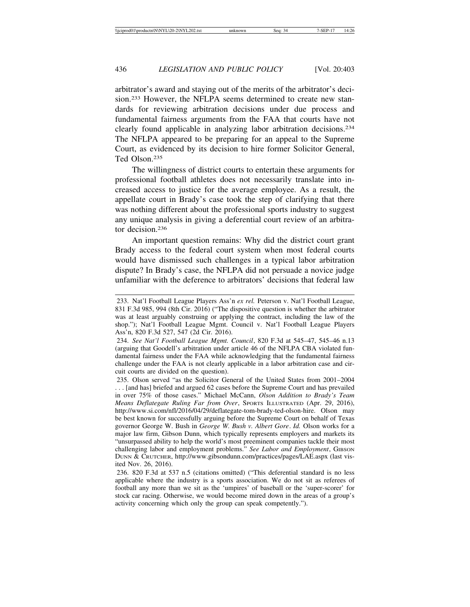arbitrator's award and staying out of the merits of the arbitrator's decision.233 However, the NFLPA seems determined to create new standards for reviewing arbitration decisions under due process and fundamental fairness arguments from the FAA that courts have not clearly found applicable in analyzing labor arbitration decisions.234 The NFLPA appeared to be preparing for an appeal to the Supreme Court, as evidenced by its decision to hire former Solicitor General, Ted Olson<sup>235</sup>

The willingness of district courts to entertain these arguments for professional football athletes does not necessarily translate into increased access to justice for the average employee. As a result, the appellate court in Brady's case took the step of clarifying that there was nothing different about the professional sports industry to suggest any unique analysis in giving a deferential court review of an arbitrator decision.236

An important question remains: Why did the district court grant Brady access to the federal court system when most federal courts would have dismissed such challenges in a typical labor arbitration dispute? In Brady's case, the NFLPA did not persuade a novice judge unfamiliar with the deference to arbitrators' decisions that federal law

234. *See Nat'l Football League Mgmt. Council*, 820 F.3d at 545–47, 545–46 n.13 (arguing that Goodell's arbitration under article 46 of the NFLPA CBA violated fundamental fairness under the FAA while acknowledging that the fundamental fairness challenge under the FAA is not clearly applicable in a labor arbitration case and circuit courts are divided on the question).

235. Olson served "as the Solicitor General of the United States from 2001–2004 . . . [and has] briefed and argued 62 cases before the Supreme Court and has prevailed in over 75% of those cases." Michael McCann, *Olson Addition to Brady's Team Means Deflategate Ruling Far from Over*, SPORTS ILLUSTRATED (Apr. 29, 2016), http://www.si.com/nfl/2016/04/29/deflategate-tom-brady-ted-olson-hire. Olson may be best known for successfully arguing before the Supreme Court on behalf of Texas governor George W. Bush in *George W. Bush v. Albert Gore*. *Id.* Olson works for a major law firm, Gibson Dunn, which typically represents employers and markets its "unsurpassed ability to help the world's most preeminent companies tackle their most challenging labor and employment problems." *See Labor and Employment*, GIBSON DUNN & CRUTCHER, http://www.gibsondunn.com/practices/pages/LAE.aspx (last visited Nov. 26, 2016).

236. 820 F.3d at 537 n.5 (citations omitted) ("This deferential standard is no less applicable where the industry is a sports association. We do not sit as referees of football any more than we sit as the 'umpires' of baseball or the 'super-scorer' for stock car racing. Otherwise, we would become mired down in the areas of a group's activity concerning which only the group can speak competently.").

<sup>233.</sup> Nat'l Football League Players Ass'n *ex rel.* Peterson v. Nat'l Football League, 831 F.3d 985, 994 (8th Cir. 2016) ("The dispositive question is whether the arbitrator was at least arguably construing or applying the contract, including the law of the shop."); Nat'l Football League Mgmt. Council v. Nat'l Football League Players Ass'n, 820 F.3d 527, 547 (2d Cir. 2016).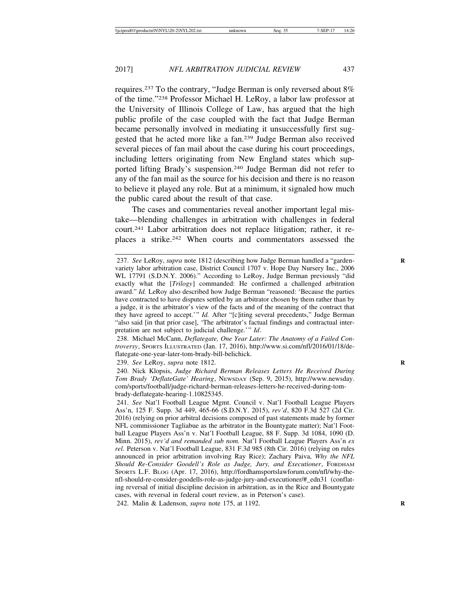requires.237 To the contrary, "Judge Berman is only reversed about 8% of the time."238 Professor Michael H. LeRoy, a labor law professor at the University of Illinois College of Law, has argued that the high public profile of the case coupled with the fact that Judge Berman became personally involved in mediating it unsuccessfully first suggested that he acted more like a fan.239 Judge Berman also received several pieces of fan mail about the case during his court proceedings, including letters originating from New England states which supported lifting Brady's suspension.240 Judge Berman did not refer to any of the fan mail as the source for his decision and there is no reason to believe it played any role. But at a minimum, it signaled how much the public cared about the result of that case.

The cases and commentaries reveal another important legal mistake—blending challenges in arbitration with challenges in federal court.241 Labor arbitration does not replace litigation; rather, it replaces a strike.242 When courts and commentators assessed the

238. Michael McCann, *Deflategate, One Year Later: The Anatomy of a Failed Controversy*, SPORTS ILLUSTRATED (Jan. 17, 2016), http://www.si.com/nfl/2016/01/18/deflategate-one-year-later-tom-brady-bill-belichick.

239. *See* LeRoy, *supra* note 1812. **R**

240. Nick Klopsis, *Judge Richard Berman Releases Letters He Received During Tom Brady 'DeflateGate' Hearing*, NEWSDAY (Sep. 9, 2015), http://www.newsday. com/sports/football/judge-richard-berman-releases-letters-he-received-during-tombrady-deflategate-hearing-1.10825345.

241. *See* Nat'l Football League Mgmt. Council v. Nat'l Football League Players Ass'n, 125 F. Supp. 3d 449, 465-66 (S.D.N.Y. 2015), *rev'd*, 820 F.3d 527 (2d Cir. 2016) (relying on prior arbitral decisions composed of past statements made by former NFL commissioner Tagliabue as the arbitrator in the Bountygate matter); Nat'l Football League Players Ass'n v. Nat'l Football League, 88 F. Supp. 3d 1084, 1090 (D. Minn. 2015), *rev'd and remanded sub nom.* Nat'l Football League Players Ass'n *ex rel.* Peterson v. Nat'l Football League, 831 F.3d 985 (8th Cir. 2016) (relying on rules announced in prior arbitration involving Ray Rice); Zachary Paiva, *Why the NFL Should Re-Consider Goodell's Role as Judge, Jury, and Executioner*, FORDHAM SPORTS L.F. BLOG (Apr. 17, 2016), http://fordhamsportslawforum.com/nfl/why-thenfl-should-re-consider-goodells-role-as-judge-jury-and-executioner/#\_edn31 (conflating reversal of initial discipline decision in arbitration, as in the Rice and Bountygate cases, with reversal in federal court review, as in Peterson's case).

242. Malin & Ladenson, *supra* note 175, at 1192. **R**

<sup>237.</sup> *See LeRoy, supra note 1812 (describing how Judge Berman handled a "garden*variety labor arbitration case, District Council 1707 v. Hope Day Nursery Inc., 2006 WL 17791 (S.D.N.Y. 2006)." According to LeRoy, Judge Berman previously "did exactly what the [*Trilogy*] commanded: He confirmed a challenged arbitration award." *Id.* LeRoy also described how Judge Berman "reasoned: 'Because the parties have contracted to have disputes settled by an arbitrator chosen by them rather than by a judge, it is the arbitrator's view of the facts and of the meaning of the contract that they have agreed to accept.'" *Id.* After "[c]iting several precedents," Judge Berman "also said [in that prior case], 'The arbitrator's factual findings and contractual interpretation are not subject to judicial challenge.'" *Id*.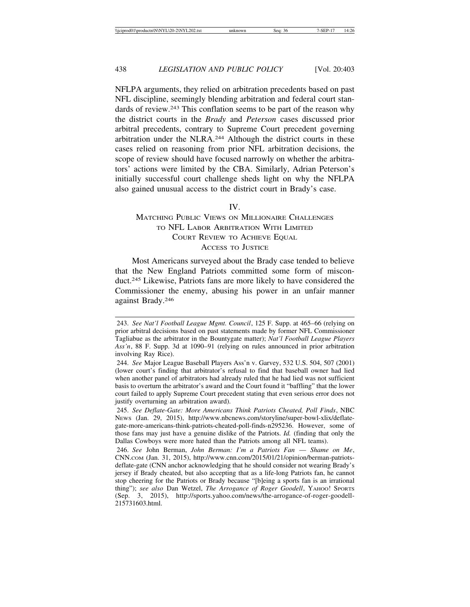NFLPA arguments, they relied on arbitration precedents based on past NFL discipline, seemingly blending arbitration and federal court standards of review.243 This conflation seems to be part of the reason why the district courts in the *Brady* and *Peterson* cases discussed prior arbitral precedents, contrary to Supreme Court precedent governing arbitration under the NLRA.244 Although the district courts in these cases relied on reasoning from prior NFL arbitration decisions, the scope of review should have focused narrowly on whether the arbitrators' actions were limited by the CBA. Similarly, Adrian Peterson's initially successful court challenge sheds light on why the NFLPA also gained unusual access to the district court in Brady's case.

#### IV.

#### MATCHING PUBLIC VIEWS ON MILLIONAIRE CHALLENGES TO NFL LABOR ARBITRATION WITH LIMITED COURT REVIEW TO ACHIEVE EQUAL ACCESS TO JUSTICE

Most Americans surveyed about the Brady case tended to believe that the New England Patriots committed some form of misconduct.245 Likewise, Patriots fans are more likely to have considered the Commissioner the enemy, abusing his power in an unfair manner against Brady.246

<sup>243.</sup> *See Nat'l Football League Mgmt. Council*, 125 F. Supp. at 465–66 (relying on prior arbitral decisions based on past statements made by former NFL Commissioner Tagliabue as the arbitrator in the Bountygate matter); *Nat'l Football League Players Ass'n*, 88 F. Supp. 3d at 1090–91 (relying on rules announced in prior arbitration involving Ray Rice).

<sup>244.</sup> *See* Major League Baseball Players Ass'n v. Garvey, 532 U.S. 504, 507 (2001) (lower court's finding that arbitrator's refusal to find that baseball owner had lied when another panel of arbitrators had already ruled that he had lied was not sufficient basis to overturn the arbitrator's award and the Court found it "baffling" that the lower court failed to apply Supreme Court precedent stating that even serious error does not justify overturning an arbitration award).

<sup>245.</sup> *See Deflate-Gate: More Americans Think Patriots Cheated, Poll Finds*, NBC NEWS (Jan. 29, 2015), http://www.nbcnews.com/storyline/super-bowl-xlix/deflategate-more-americans-think-patriots-cheated-poll-finds-n295236. However, some of those fans may just have a genuine dislike of the Patriots. *Id.* (finding that only the Dallas Cowboys were more hated than the Patriots among all NFL teams).

<sup>246.</sup> *See* John Berman, *John Berman: I'm a Patriots Fan* — *Shame on Me*, CNN.COM (Jan. 31, 2015), http://www.cnn.com/2015/01/21/opinion/berman-patriotsdeflate-gate (CNN anchor acknowledging that he should consider not wearing Brady's jersey if Brady cheated, but also accepting that as a life-long Patriots fan, he cannot stop cheering for the Patriots or Brady because "[b]eing a sports fan is an irrational thing"); *see also* Dan Wetzel, *The Arrogance of Roger Goodell*, YAHOO! SPORTS (Sep. 3, 2015), http://sports.yahoo.com/news/the-arrogance-of-roger-goodell-215731603.html.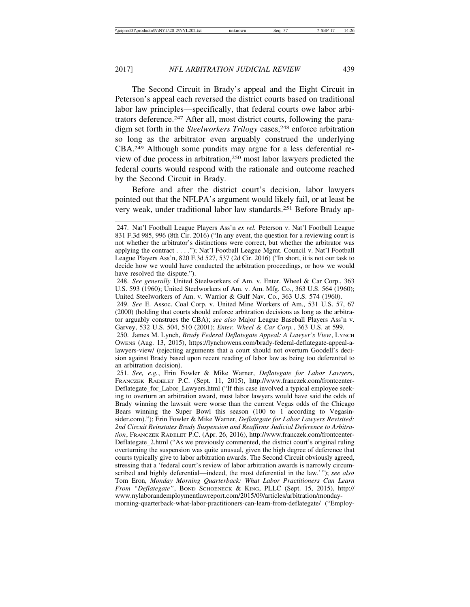The Second Circuit in Brady's appeal and the Eight Circuit in Peterson's appeal each reversed the district courts based on traditional labor law principles—specifically, that federal courts owe labor arbitrators deference.247 After all, most district courts, following the paradigm set forth in the *Steelworkers Trilogy* cases,<sup>248</sup> enforce arbitration so long as the arbitrator even arguably construed the underlying CBA.249 Although some pundits may argue for a less deferential review of due process in arbitration,250 most labor lawyers predicted the federal courts would respond with the rationale and outcome reached by the Second Circuit in Brady.

Before and after the district court's decision, labor lawyers pointed out that the NFLPA's argument would likely fail, or at least be very weak, under traditional labor law standards.251 Before Brady ap-

250. James M. Lynch, *Brady Federal Deflategate Appeal: A Lawyer's View*, LYNCH OWENS (Aug. 13, 2015), https://lynchowens.com/brady-federal-deflategate-appeal-alawyers-view/ (rejecting arguments that a court should not overturn Goodell's decision against Brady based upon recent reading of labor law as being too deferential to an arbitration decision).

251. *See, e.g.*, Erin Fowler & Mike Warner, *Deflategate for Labor Lawyers*, FRANCZEK RADELET P.C. (Sept. 11, 2015), http://www.franczek.com/frontcenter-Deflategate\_for\_Labor\_Lawyers.html ("If this case involved a typical employee seeking to overturn an arbitration award, most labor lawyers would have said the odds of Brady winning the lawsuit were worse than the current Vegas odds of the Chicago Bears winning the Super Bowl this season (100 to 1 according to Vegasinsider.com)."); Erin Fowler & Mike Warner, *Deflategate for Labor Lawyers Revisited: 2nd Circuit Reinstates Brady Suspension and Reaffirms Judicial Deference to Arbitration*, FRANCZEK RADELET P.C. (Apr. 26, 2016), http://www.franczek.com/frontcenter-Deflategate\_2.html ("As we previously commented, the district court's original ruling overturning the suspension was quite unusual, given the high degree of deference that courts typically give to labor arbitration awards. The Second Circuit obviously agreed, stressing that a 'federal court's review of labor arbitration awards is narrowly circumscribed and highly deferential—indeed, the most deferential in the law.'"); *see also* Tom Eron, *Monday Morning Quarterback: What Labor Practitioners Can Learn From "Deflategate"*, BOND SCHOENECK & KING, PLLC (Sept. 15, 2015), http:// www.nylaborandemploymentlawreport.com/2015/09/articles/arbitration/mondaymorning-quarterback-what-labor-practitioners-can-learn-from-deflategate/ ("Employ-

<sup>247.</sup> Nat'l Football League Players Ass'n *ex rel.* Peterson v. Nat'l Football League 831 F.3d 985, 996 (8th Cir. 2016) ("In any event, the question for a reviewing court is not whether the arbitrator's distinctions were correct, but whether the arbitrator was applying the contract . . . ."); Nat'l Football League Mgmt. Council v. Nat'l Football League Players Ass'n, 820 F.3d 527, 537 (2d Cir. 2016) ("In short, it is not our task to decide how we would have conducted the arbitration proceedings, or how we would have resolved the dispute.").

<sup>248.</sup> *See generally* United Steelworkers of Am. v. Enter. Wheel & Car Corp., 363 U.S. 593 (1960); United Steelworkers of Am. v. Am. Mfg. Co., 363 U.S. 564 (1960); United Steelworkers of Am. v. Warrior & Gulf Nav. Co., 363 U.S. 574 (1960).

<sup>249.</sup> *See* E. Assoc. Coal Corp. v. United Mine Workers of Am., 531 U.S. 57, 67 (2000) (holding that courts should enforce arbitration decisions as long as the arbitrator arguably construes the CBA); *see also* Major League Baseball Players Ass'n v. Garvey, 532 U.S. 504, 510 (2001); *Enter. Wheel & Car Corp.*, 363 U.S. at 599.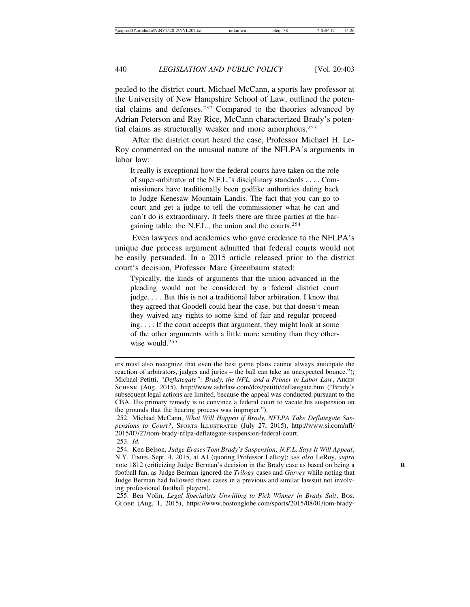pealed to the district court, Michael McCann, a sports law professor at the University of New Hampshire School of Law, outlined the potential claims and defenses.252 Compared to the theories advanced by Adrian Peterson and Ray Rice, McCann characterized Brady's potential claims as structurally weaker and more amorphous.253

After the district court heard the case, Professor Michael H. Le-Roy commented on the unusual nature of the NFLPA's arguments in labor law:

It really is exceptional how the federal courts have taken on the role of super-arbitrator of the N.F.L.'s disciplinary standards . . . . Commissioners have traditionally been godlike authorities dating back to Judge Kenesaw Mountain Landis. The fact that you can go to court and get a judge to tell the commissioner what he can and can't do is extraordinary. It feels there are three parties at the bargaining table: the N.F.L., the union and the courts.<sup>254</sup>

Even lawyers and academics who gave credence to the NFLPA's unique due process argument admitted that federal courts would not be easily persuaded. In a 2015 article released prior to the district court's decision, Professor Marc Greenbaum stated:

Typically, the kinds of arguments that the union advanced in the pleading would not be considered by a federal district court judge. . . . But this is not a traditional labor arbitration. I know that they agreed that Goodell could hear the case, but that doesn't mean they waived any rights to some kind of fair and regular proceeding. . . . If the court accepts that argument, they might look at some of the other arguments with a little more scrutiny than they otherwise would.<sup>255</sup>

ers must also recognize that even the best game plans cannot always anticipate the reaction of arbitrators, judges and juries – the ball can take an unexpected bounce."); Michael Petitti, "Deflategate": Brady, the NFL, and a Primer in Labor Law, AIKEN SCHENK (Aug. 2015), http://www.ashrlaw.com/dox/petitti/deflategate.htm ("Brady's subsequent legal actions are limited, because the appeal was conducted pursuant to the CBA. His primary remedy is to convince a federal court to vacate his suspension on the grounds that the hearing process was improper.").

<sup>252.</sup> Michael McCann, *What Will Happen if Brady, NFLPA Take Deflategate Suspensions to Court?*, SPORTS ILLUSTRATED (July 27, 2015), http://www.si.com/nfl/ 2015/07/27/tom-brady-nflpa-deflategate-suspension-federal-court.

<sup>253.</sup> *Id.*

<sup>254.</sup> Ken Belson, *Judge Erases Tom Brady's Suspension; N.F.L. Says It Will Appeal*, N.Y. TIMES, Sept. 4, 2015, at A1 (quoting Professor LeRoy); *see also* LeRoy, *supra* note 1812 (criticizing Judge Berman's decision in the Brady case as based on being a **R** football fan, as Judge Berman ignored the *Trilogy* cases and *Garvey* while noting that Judge Berman had followed those cases in a previous and similar lawsuit not involving professional football players).

<sup>255.</sup> Ben Volin, *Legal Specialists Unwilling to Pick Winner in Brady Suit*, Bos. GLOBE (Aug. 1, 2015), https://www.bostonglobe.com/sports/2015/08/01/tom-brady-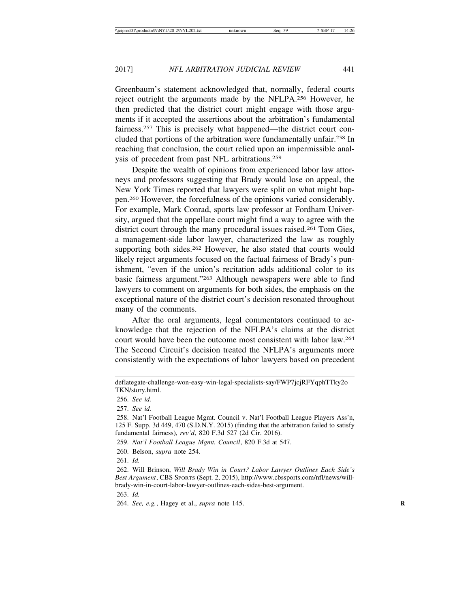Greenbaum's statement acknowledged that, normally, federal courts reject outright the arguments made by the NFLPA.256 However, he then predicted that the district court might engage with those arguments if it accepted the assertions about the arbitration's fundamental fairness.257 This is precisely what happened—the district court concluded that portions of the arbitration were fundamentally unfair.258 In reaching that conclusion, the court relied upon an impermissible analysis of precedent from past NFL arbitrations.259

Despite the wealth of opinions from experienced labor law attorneys and professors suggesting that Brady would lose on appeal, the New York Times reported that lawyers were split on what might happen.260 However, the forcefulness of the opinions varied considerably. For example, Mark Conrad, sports law professor at Fordham University, argued that the appellate court might find a way to agree with the district court through the many procedural issues raised.<sup>261</sup> Tom Gies, a management-side labor lawyer, characterized the law as roughly supporting both sides.<sup>262</sup> However, he also stated that courts would likely reject arguments focused on the factual fairness of Brady's punishment, "even if the union's recitation adds additional color to its basic fairness argument."263 Although newspapers were able to find lawyers to comment on arguments for both sides, the emphasis on the exceptional nature of the district court's decision resonated throughout many of the comments.

After the oral arguments, legal commentators continued to acknowledge that the rejection of the NFLPA's claims at the district court would have been the outcome most consistent with labor law.264 The Second Circuit's decision treated the NFLPA's arguments more consistently with the expectations of labor lawyers based on precedent

259. *Nat'l Football League Mgmt. Council*, 820 F.3d at 547.

260. Belson, *supra* note 254.

261. *Id.*

263. *Id.*

deflategate-challenge-won-easy-win-legal-specialists-say/FWP7jcjRFYqphTTky2o TKN/story.html.

<sup>256.</sup> *See id.*

<sup>257.</sup> *See id.*

<sup>258.</sup> Nat'l Football League Mgmt. Council v. Nat'l Football League Players Ass'n, 125 F. Supp. 3d 449, 470 (S.D.N.Y. 2015) (finding that the arbitration failed to satisfy fundamental fairness), *rev'd*, 820 F.3d 527 (2d Cir. 2016).

<sup>262.</sup> Will Brinson, *Will Brady Win in Court? Labor Lawyer Outlines Each Side's Best Argument*, CBS SPORTS (Sept. 2, 2015), http://www.cbssports.com/nfl/news/willbrady-win-in-court-labor-lawyer-outlines-each-sides-best-argument.

<sup>264.</sup> *See, e.g.*, Hagey et al., *supra* note 145. **R**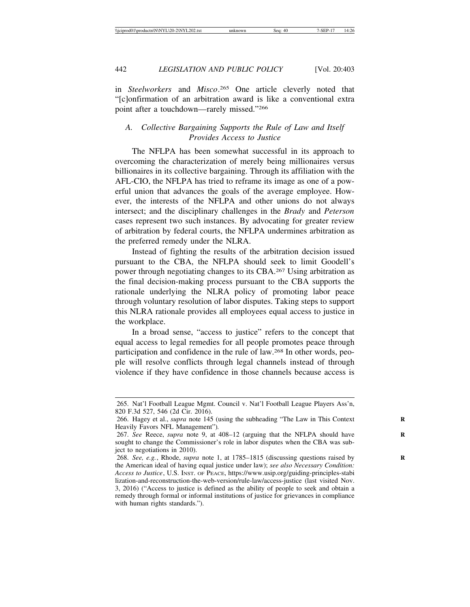in *Steelworkers* and *Misco*. 265 One article cleverly noted that "[c]onfirmation of an arbitration award is like a conventional extra point after a touchdown—rarely missed."266

#### *A. Collective Bargaining Supports the Rule of Law and Itself Provides Access to Justice*

The NFLPA has been somewhat successful in its approach to overcoming the characterization of merely being millionaires versus billionaires in its collective bargaining. Through its affiliation with the AFL-CIO, the NFLPA has tried to reframe its image as one of a powerful union that advances the goals of the average employee. However, the interests of the NFLPA and other unions do not always intersect; and the disciplinary challenges in the *Brady* and *Peterson* cases represent two such instances. By advocating for greater review of arbitration by federal courts, the NFLPA undermines arbitration as the preferred remedy under the NLRA.

Instead of fighting the results of the arbitration decision issued pursuant to the CBA, the NFLPA should seek to limit Goodell's power through negotiating changes to its CBA.267 Using arbitration as the final decision-making process pursuant to the CBA supports the rationale underlying the NLRA policy of promoting labor peace through voluntary resolution of labor disputes. Taking steps to support this NLRA rationale provides all employees equal access to justice in the workplace.

In a broad sense, "access to justice" refers to the concept that equal access to legal remedies for all people promotes peace through participation and confidence in the rule of law.268 In other words, people will resolve conflicts through legal channels instead of through violence if they have confidence in those channels because access is

<sup>265.</sup> Nat'l Football League Mgmt. Council v. Nat'l Football League Players Ass'n, 820 F.3d 527, 546 (2d Cir. 2016).

<sup>266.</sup> Hagey et al., *supra* note 145 (using the subheading "The Law in This Context **R** Heavily Favors NFL Management")*.*

<sup>267.</sup> See Reece, *supra* note 9, at 408-12 (arguing that the NFLPA should have sought to change the Commissioner's role in labor disputes when the CBA was subject to negotiations in 2010).

<sup>268.</sup> *See, e.g.*, Rhode, *supra* note 1, at 1785–1815 (discussing questions raised by **R** the American ideal of having equal justice under law); *see also Necessary Condition: Access to Justice*, U.S. INST. OF PEACE, https://www.usip.org/guiding-principles-stabi lization-and-reconstruction-the-web-version/rule-law/access-justice (last visited Nov. 3, 2016) ("Access to justice is defined as the ability of people to seek and obtain a remedy through formal or informal institutions of justice for grievances in compliance with human rights standards.").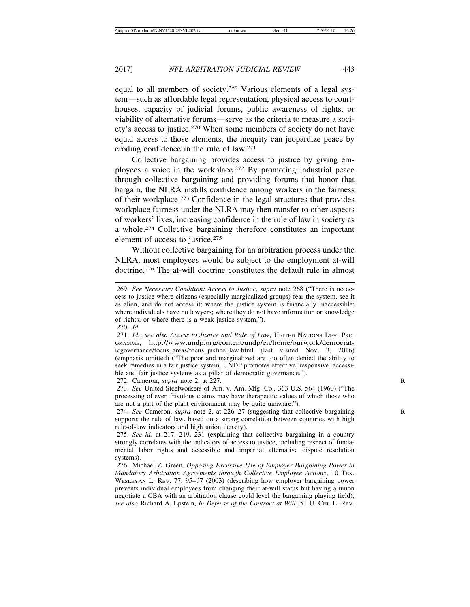equal to all members of society.269 Various elements of a legal system—such as affordable legal representation, physical access to courthouses, capacity of judicial forums, public awareness of rights, or viability of alternative forums—serve as the criteria to measure a society's access to justice.270 When some members of society do not have equal access to those elements, the inequity can jeopardize peace by eroding confidence in the rule of law.271

Collective bargaining provides access to justice by giving employees a voice in the workplace.272 By promoting industrial peace through collective bargaining and providing forums that honor that bargain, the NLRA instills confidence among workers in the fairness of their workplace.273 Confidence in the legal structures that provides workplace fairness under the NLRA may then transfer to other aspects of workers' lives, increasing confidence in the rule of law in society as a whole.274 Collective bargaining therefore constitutes an important element of access to justice.275

Without collective bargaining for an arbitration process under the NLRA, most employees would be subject to the employment at-will doctrine.276 The at-will doctrine constitutes the default rule in almost

272. Cameron, *supra* note 2, at 227. **R**

273. *See* United Steelworkers of Am. v. Am. Mfg. Co., 363 U.S. 564 (1960) ("The processing of even frivolous claims may have therapeutic values of which those who are not a part of the plant environment may be quite unaware.").

274. *See* Cameron, *supra* note 2, at 226–27 (suggesting that collective bargaining supports the rule of law, based on a strong correlation between countries with high rule-of-law indicators and high union density).

275. *See id.* at 217, 219, 231 (explaining that collective bargaining in a country strongly correlates with the indicators of access to justice, including respect of fundamental labor rights and accessible and impartial alternative dispute resolution systems).

<sup>269.</sup> *See Necessary Condition: Access to Justice*, *supra* note 268 ("There is no access to justice where citizens (especially marginalized groups) fear the system, see it as alien, and do not access it; where the justice system is financially inaccessible; where individuals have no lawyers; where they do not have information or knowledge of rights; or where there is a weak justice system.").

<sup>270.</sup> *Id.*

<sup>271.</sup> *Id.*; *see also Access to Justice and Rule of Law*, UNITED NATIONS DEV. PRO-GRAMME, http://www.undp.org/content/undp/en/home/ourwork/democraticgovernance/focus\_areas/focus\_justice\_law.html (last visited Nov. 3, 2016) (emphasis omitted) ("The poor and marginalized are too often denied the ability to seek remedies in a fair justice system. UNDP promotes effective, responsive, accessible and fair justice systems as a pillar of democratic governance.").

<sup>276.</sup> Michael Z. Green, *Opposing Excessive Use of Employer Bargaining Power in Mandatory Arbitration Agreements through Collective Employee Actions*, 10 TEX. WESLEYAN L. REV. 77, 95–97 (2003) (describing how employer bargaining power prevents individual employees from changing their at-will status but having a union negotiate a CBA with an arbitration clause could level the bargaining playing field); *see also* Richard A. Epstein, *In Defense of the Contract at Will*, 51 U. CHI. L. REV.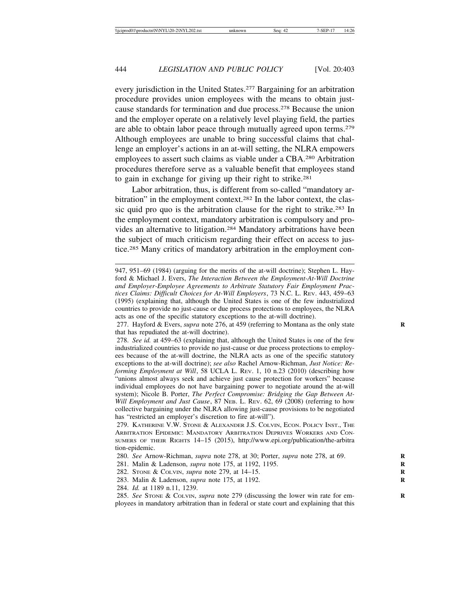every jurisdiction in the United States.277 Bargaining for an arbitration procedure provides union employees with the means to obtain justcause standards for termination and due process.278 Because the union and the employer operate on a relatively level playing field, the parties are able to obtain labor peace through mutually agreed upon terms.279 Although employees are unable to bring successful claims that challenge an employer's actions in an at-will setting, the NLRA empowers employees to assert such claims as viable under a CBA.280 Arbitration procedures therefore serve as a valuable benefit that employees stand to gain in exchange for giving up their right to strike.281

Labor arbitration, thus, is different from so-called "mandatory arbitration" in the employment context.<sup>282</sup> In the labor context, the classic quid pro quo is the arbitration clause for the right to strike.283 In the employment context, mandatory arbitration is compulsory and provides an alternative to litigation.284 Mandatory arbitrations have been the subject of much criticism regarding their effect on access to justice.285 Many critics of mandatory arbitration in the employment con-

<sup>947, 951–69 (1984) (</sup>arguing for the merits of the at-will doctrine); Stephen L. Hayford & Michael J. Evers, *The Interaction Between the Employment-At-Will Doctrine and Employer-Employee Agreements to Arbitrate Statutory Fair Employment Practices Claims: Difficult Choices for At-Will Employers*, 73 N.C. L. REV. 443, 459–63 (1995) (explaining that, although the United States is one of the few industrialized countries to provide no just-cause or due process protections to employees, the NLRA acts as one of the specific statutory exceptions to the at-will doctrine).

<sup>277.</sup> Hayford & Evers, *supra* note 276, at 459 (referring to Montana as the only state **R** that has repudiated the at-will doctrine).

<sup>278.</sup> *See id.* at 459–63 (explaining that, although the United States is one of the few industrialized countries to provide no just-cause or due process protections to employees because of the at-will doctrine, the NLRA acts as one of the specific statutory exceptions to the at-will doctrine); *see also* Rachel Arnow-Richman, *Just Notice: Reforming Employment at Will*, 58 UCLA L. REV. 1, 10 n.23 (2010) (describing how "unions almost always seek and achieve just cause protection for workers" because individual employees do not have bargaining power to negotiate around the at-will system); Nicole B. Porter, *The Perfect Compromise: Bridging the Gap Between At-Will Employment and Just Cause*, 87 NEB. L. REV. 62, 69 (2008) (referring to how collective bargaining under the NLRA allowing just-cause provisions to be negotiated has "restricted an employer's discretion to fire at-will").

<sup>279.</sup> KATHERINE V.W. STONE & ALEXANDER J.S. COLVIN, ECON. POLICY INST., THE ARBITRATION EPIDEMIC: MANDATORY ARBITRATION DEPRIVES WORKERS AND CON-SUMERS OF THEIR RIGHTS 14–15 (2015), http://www.epi.org/publication/the-arbitra tion-epidemic.

<sup>280.</sup> *See* Arnow-Richman, *supra* note 278, at 30; Porter, *supra* note 278, at 69. **R**

<sup>281.</sup> Malin & Ladenson, *supra* note 175, at 1192, 1195. **R**

<sup>282.</sup> STONE & COLVIN, *supra* note 279, at 14–15. **R**

<sup>283.</sup> Malin & Ladenson, *supra* note 175, at 1192. **R**

<sup>284.</sup> *Id.* at 1189 n.11, 1239.

<sup>285.</sup> See STONE & COLVIN, *supra* note 279 (discussing the lower win rate for employees in mandatory arbitration than in federal or state court and explaining that this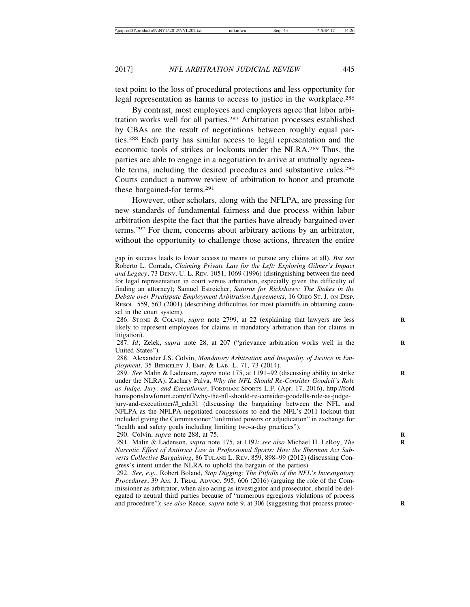text point to the loss of procedural protections and less opportunity for legal representation as harms to access to justice in the workplace.286

By contrast, most employees and employers agree that labor arbitration works well for all parties.287 Arbitration processes established by CBAs are the result of negotiations between roughly equal parties.288 Each party has similar access to legal representation and the economic tools of strikes or lockouts under the NLRA.289 Thus, the parties are able to engage in a negotiation to arrive at mutually agreeable terms, including the desired procedures and substantive rules.<sup>290</sup> Courts conduct a narrow review of arbitration to honor and promote these bargained-for terms.291

However, other scholars, along with the NFLPA, are pressing for new standards of fundamental fairness and due process within labor arbitration despite the fact that the parties have already bargained over terms.292 For them, concerns about arbitrary actions by an arbitrator, without the opportunity to challenge those actions, threaten the entire

286. STONE & COLVIN, *supra* note 2799, at 22 (explaining that lawyers are less **R** likely to represent employees for claims in mandatory arbitration than for claims in litigation).

287. *Id*; Zelek, *supra* note 28, at 207 ("grievance arbitration works well in the United States").

288. Alexander J.S. Colvin, *Mandatory Arbitration and Inequality of Justice in Employment*, 35 BERKELEY J. EMP. & LAB. L. 71, 73 (2014).

289. *See* Malin & Ladenson, *supra* note 175, at 1191–92 (discussing ability to strike **R** under the NLRA); Zachary Palva, *Why the NFL Should Re-Consider Goodell's Role as Judge, Jury, and Executioner*, FORDHAM SPORTS L.F. (Apr. 17, 2016), http://ford hamsportslawforum.com/nfl/why-the-nfl-should-re-consider-goodells-role-as-judge-

jury-and-executioner/#\_edn31 (discussing the bargaining between the NFL and NFLPA as the NFLPA negotiated concessions to end the NFL's 2011 lockout that included giving the Commissioner "unlimited powers or adjudication" in exchange for "health and safety goals including limiting two-a-day practices").

290. Colvin, *supra* note 288, at 75. **R**

291. Malin & Ladenson, *supra* note 175, at 1192; *see also* Michael H. LeRoy, *The* **R** *Narcotic Effect of Antitrust Law in Professional Sports: How the Sherman Act Subverts Collective Bargaining*, 86 TULANE L. REV. 859, 898–99 (2012) (discussing Congress's intent under the NLRA to uphold the bargain of the parties).

292. *See, e.g.*, Robert Boland, *Stop Digging: The Pitfalls of the NFL's Investigatory Procedures*, 39 AM. J. TRIAL ADVOC. 595, 606 (2016) (arguing the role of the Commissioner as arbitrator, when also acing as investigator and prosecutor, should be delegated to neutral third parties because of "numerous egregious violations of process and procedure"); *see also* Reece, *supra* note 9, at 306 (suggesting that process protec-

gap in success leads to lower access to means to pursue any claims at all). *But see* Roberto L. Corrada, *Claiming Private Law for the Left: Exploring Gilmer's Impact and Legacy*, 73 DENV. U. L. REV. 1051, 1069 (1996) (distinguishing between the need for legal representation in court versus arbitration, especially given the difficulty of finding an attorney); Samuel Estreicher, *Saturns for Rickshaws: The Stakes in the Debate over Predispute Employment Arbitration Agreements*, 16 OHIO ST. J. ON DISP. RESOL. 559, 563 (2001) (describing difficulties for most plaintiffs in obtaining counsel in the court system).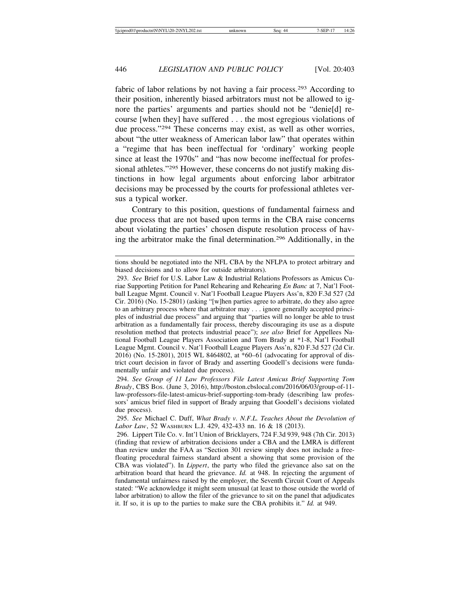fabric of labor relations by not having a fair process.293 According to their position, inherently biased arbitrators must not be allowed to ignore the parties' arguments and parties should not be "denie[d] recourse [when they] have suffered . . . the most egregious violations of due process."294 These concerns may exist, as well as other worries, about "the utter weakness of American labor law" that operates within a "regime that has been ineffectual for 'ordinary' working people since at least the 1970s" and "has now become ineffectual for professional athletes."295 However, these concerns do not justify making distinctions in how legal arguments about enforcing labor arbitrator decisions may be processed by the courts for professional athletes versus a typical worker.

Contrary to this position, questions of fundamental fairness and due process that are not based upon terms in the CBA raise concerns about violating the parties' chosen dispute resolution process of having the arbitrator make the final determination.296 Additionally, in the

295. *See* Michael C. Duff, *What Brady v. N.F.L. Teaches About the Devolution of Labor Law*, 52 WASHBURN L.J. 429, 432-433 nn. 16 & 18 (2013).

296. Lippert Tile Co. v. Int'l Union of Bricklayers, 724 F.3d 939, 948 (7th Cir. 2013) (finding that review of arbitration decisions under a CBA and the LMRA is different than review under the FAA as "Section 301 review simply does not include a freefloating procedural fairness standard absent a showing that some provision of the CBA was violated"). In *Lippert*, the party who filed the grievance also sat on the arbitration board that heard the grievance. *Id.* at 948. In rejecting the argument of fundamental unfairness raised by the employer, the Seventh Circuit Court of Appeals stated: "We acknowledge it might seem unusual (at least to those outside the world of labor arbitration) to allow the filer of the grievance to sit on the panel that adjudicates it. If so, it is up to the parties to make sure the CBA prohibits it." *Id.* at 949.

tions should be negotiated into the NFL CBA by the NFLPA to protect arbitrary and biased decisions and to allow for outside arbitrators).

<sup>293.</sup> *See* Brief for U.S. Labor Law & Industrial Relations Professors as Amicus Curiae Supporting Petition for Panel Rehearing and Rehearing *En Banc* at 7, Nat'l Football League Mgmt. Council v. Nat'l Football League Players Ass'n, 820 F.3d 527 (2d Cir. 2016) (No. 15-2801) (asking "[w]hen parties agree to arbitrate, do they also agree to an arbitrary process where that arbitrator may . . . ignore generally accepted principles of industrial due process" and arguing that "parties will no longer be able to trust arbitration as a fundamentally fair process, thereby discouraging its use as a dispute resolution method that protects industrial peace"); *see also* Brief for Appellees National Football League Players Association and Tom Brady at \*1-8, Nat'l Football League Mgmt. Council v. Nat'l Football League Players Ass'n, 820 F.3d 527 (2d Cir. 2016) (No. 15-2801), 2015 WL 8464802, at \*60–61 (advocating for approval of district court decision in favor of Brady and asserting Goodell's decisions were fundamentally unfair and violated due process).

<sup>294.</sup> *See Group of 11 Law Professors File Latest Amicus Brief Supporting Tom Brady*, CBS BOS. (June 3, 2016), http://boston.cbslocal.com/2016/06/03/group-of-11 law-professors-file-latest-amicus-brief-supporting-tom-brady (describing law professors' amicus brief filed in support of Brady arguing that Goodell's decisions violated due process).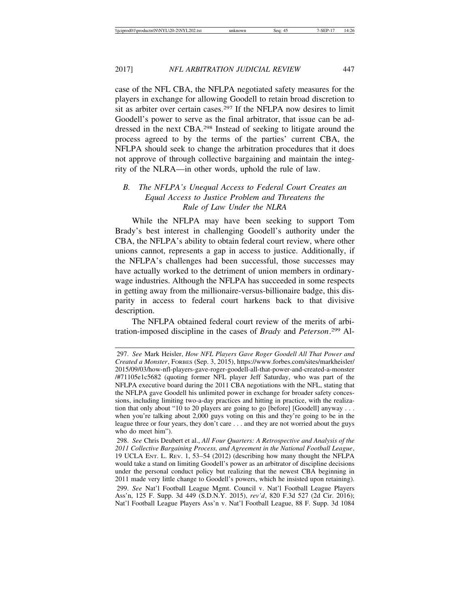case of the NFL CBA, the NFLPA negotiated safety measures for the players in exchange for allowing Goodell to retain broad discretion to sit as arbiter over certain cases.297 If the NFLPA now desires to limit Goodell's power to serve as the final arbitrator, that issue can be addressed in the next CBA.298 Instead of seeking to litigate around the process agreed to by the terms of the parties' current CBA, the NFLPA should seek to change the arbitration procedures that it does not approve of through collective bargaining and maintain the integrity of the NLRA—in other words, uphold the rule of law.

#### *B. The NFLPA's Unequal Access to Federal Court Creates an Equal Access to Justice Problem and Threatens the Rule of Law Under the NLRA*

While the NFLPA may have been seeking to support Tom Brady's best interest in challenging Goodell's authority under the CBA, the NFLPA's ability to obtain federal court review, where other unions cannot, represents a gap in access to justice. Additionally, if the NFLPA's challenges had been successful, those successes may have actually worked to the detriment of union members in ordinarywage industries. Although the NFLPA has succeeded in some respects in getting away from the millionaire-versus-billionaire badge, this disparity in access to federal court harkens back to that divisive description.

The NFLPA obtained federal court review of the merits of arbitration-imposed discipline in the cases of *Brady* and *Peterson*. 299 Al-

<sup>297.</sup> *See* Mark Heisler, *How NFL Players Gave Roger Goodell All That Power and Created a Monster*, FORBES (Sep. 3, 2015), https://www.forbes.com/sites/markheisler/ 2015/09/03/how-nfl-players-gave-roger-goodell-all-that-power-and-created-a-monster /#71105e1c5682 (quoting former NFL player Jeff Saturday, who was part of the NFLPA executive board during the 2011 CBA negotiations with the NFL, stating that the NFLPA gave Goodell his unlimited power in exchange for broader safety concessions, including limiting two-a-day practices and hitting in practice, with the realization that only about "10 to 20 players are going to go [before] [Goodell] anyway . . . when you're talking about 2,000 guys voting on this and they're going to be in the league three or four years, they don't care . . . and they are not worried about the guys who do meet him").

<sup>298.</sup> *See* Chris Deubert et al., *All Four Quarters: A Retrospective and Analysis of the 2011 Collective Bargaining Process, and Agreement in the National Football League*, 19 UCLA ENT. L. REV. 1, 53–54 (2012) (describing how many thought the NFLPA would take a stand on limiting Goodell's power as an arbitrator of discipline decisions under the personal conduct policy but realizing that the newest CBA beginning in 2011 made very little change to Goodell's powers, which he insisted upon retaining). 299. *See* Nat'l Football League Mgmt. Council v. Nat'l Football League Players Ass'n, 125 F. Supp. 3d 449 (S.D.N.Y. 2015), *rev'd*, 820 F.3d 527 (2d Cir. 2016); Nat'l Football League Players Ass'n v. Nat'l Football League, 88 F. Supp. 3d 1084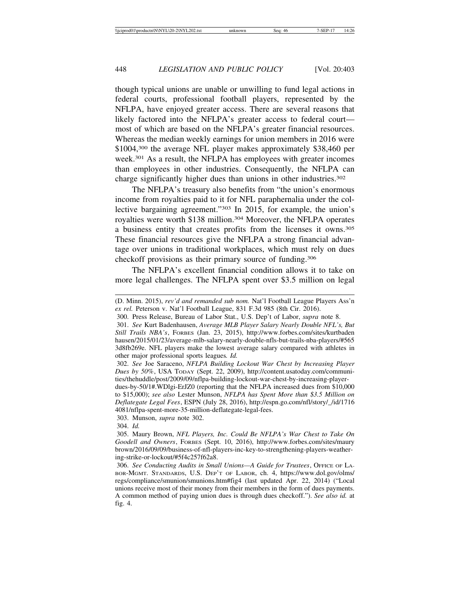though typical unions are unable or unwilling to fund legal actions in federal courts, professional football players, represented by the NFLPA, have enjoyed greater access. There are several reasons that likely factored into the NFLPA's greater access to federal court most of which are based on the NFLPA's greater financial resources. Whereas the median weekly earnings for union members in 2016 were \$1004,300 the average NFL player makes approximately \$38,460 per week.301 As a result, the NFLPA has employees with greater incomes than employees in other industries. Consequently, the NFLPA can charge significantly higher dues than unions in other industries.<sup>302</sup>

The NFLPA's treasury also benefits from "the union's enormous income from royalties paid to it for NFL paraphernalia under the collective bargaining agreement."303 In 2015, for example, the union's royalties were worth \$138 million.304 Moreover, the NFLPA operates a business entity that creates profits from the licenses it owns.305 These financial resources give the NFLPA a strong financial advantage over unions in traditional workplaces, which must rely on dues checkoff provisions as their primary source of funding.306

The NFLPA's excellent financial condition allows it to take on more legal challenges. The NFLPA spent over \$3.5 million on legal

- (D. Minn. 2015), *rev'd and remanded sub nom.* Nat'l Football League Players Ass'n *ex rel.* Peterson v. Nat'l Football League, 831 F.3d 985 (8th Cir. 2016).
- 300. Press Release, Bureau of Labor Stat., U.S. Dep't of Labor, *supra* note 8.

dues-by-50/1#.WDlgi-ErJZ0 (reporting that the NFLPA increased dues from \$10,000 to \$15,000); *see also* Lester Munson, *NFLPA has Spent More than \$3.5 Million on Deflategate Legal Fees*, ESPN (July 28, 2016), http://espn.go.com/nfl/story/\_/id/1716 4081/nflpa-spent-more-35-million-deflategate-legal-fees.

304. *Id.*

305. Maury Brown, *NFL Players, Inc. Could Be NFLPA's War Chest to Take On Goodell and Owners*, FORBES (Sept. 10, 2016), http://www.forbes.com/sites/maury brown/2016/09/09/business-of-nfl-players-inc-key-to-strengthening-players-weathering-strike-or-lockout/#5f4c257f62a8.

306. *See Conducting Audits in Small Unions—A Guide for Trustees*, OFFICE OF LA-BOR-MGMT. STANDARDS, U.S. DEP'T OF LABOR, ch. 4, https://www.dol.gov/olms/ regs/compliance/smunion/smunions.htm#fig4 (last updated Apr. 22, 2014) ("Local unions receive most of their money from their members in the form of dues payments. A common method of paying union dues is through dues checkoff."). *See also id.* at fig. 4.

<sup>301.</sup> *See* Kurt Badenhausen, *Average MLB Player Salary Nearly Double NFL's, But Still Trails NBA's*, FORBES (Jan. 23, 2015), http://www.forbes.com/sites/kurtbaden hausen/2015/01/23/average-mlb-salary-nearly-double-nfls-but-trails-nba-players/#565 3d8fb269e. NFL players make the lowest average salary compared with athletes in other major professional sports leagues*. Id.*

<sup>302.</sup> *See* Joe Saraceno, *NFLPA Building Lockout War Chest by Increasing Player Dues by 50%*, USA TODAY (Sept. 22, 2009), http://content.usatoday.com/communities/thehuddle/post/2009/09/nflpa-building-lockout-war-chest-by-increasing-player-

<sup>303.</sup> Munson, *supra* note 302.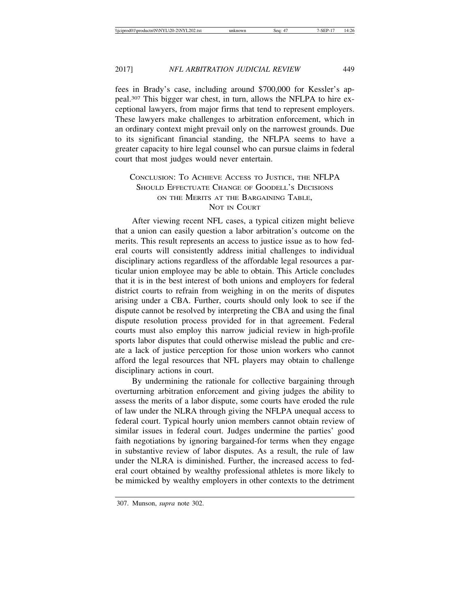fees in Brady's case, including around \$700,000 for Kessler's appeal.307 This bigger war chest, in turn, allows the NFLPA to hire exceptional lawyers, from major firms that tend to represent employers. These lawyers make challenges to arbitration enforcement, which in an ordinary context might prevail only on the narrowest grounds. Due to its significant financial standing, the NFLPA seems to have a greater capacity to hire legal counsel who can pursue claims in federal court that most judges would never entertain.

#### CONCLUSION: TO ACHIEVE ACCESS TO JUSTICE, THE NFLPA SHOULD EFFECTUATE CHANGE OF GOODELL'S DECISIONS ON THE MERITS AT THE BARGAINING TABLE. NOT IN COURT

After viewing recent NFL cases, a typical citizen might believe that a union can easily question a labor arbitration's outcome on the merits. This result represents an access to justice issue as to how federal courts will consistently address initial challenges to individual disciplinary actions regardless of the affordable legal resources a particular union employee may be able to obtain. This Article concludes that it is in the best interest of both unions and employers for federal district courts to refrain from weighing in on the merits of disputes arising under a CBA. Further, courts should only look to see if the dispute cannot be resolved by interpreting the CBA and using the final dispute resolution process provided for in that agreement. Federal courts must also employ this narrow judicial review in high-profile sports labor disputes that could otherwise mislead the public and create a lack of justice perception for those union workers who cannot afford the legal resources that NFL players may obtain to challenge disciplinary actions in court.

By undermining the rationale for collective bargaining through overturning arbitration enforcement and giving judges the ability to assess the merits of a labor dispute, some courts have eroded the rule of law under the NLRA through giving the NFLPA unequal access to federal court. Typical hourly union members cannot obtain review of similar issues in federal court. Judges undermine the parties' good faith negotiations by ignoring bargained-for terms when they engage in substantive review of labor disputes. As a result, the rule of law under the NLRA is diminished. Further, the increased access to federal court obtained by wealthy professional athletes is more likely to be mimicked by wealthy employers in other contexts to the detriment